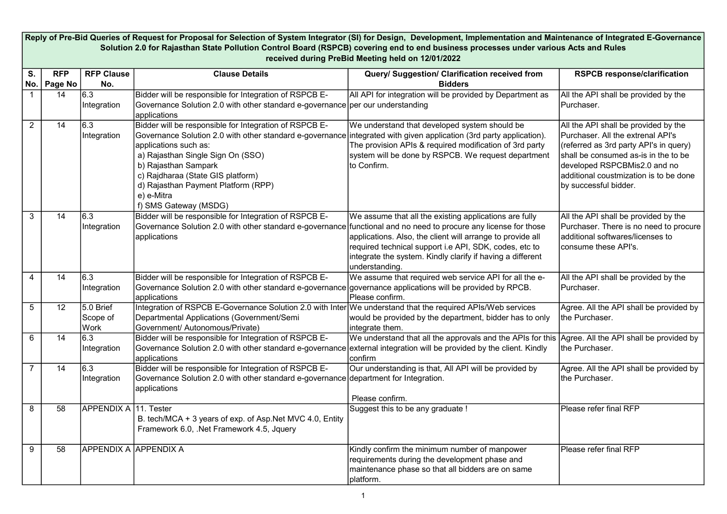|                | Reply of Pre-Bid Queries of Request for Proposal for Selection of System Integrator (SI) for Design, Development, Implementation and Maintenance of Integrated E-Governance<br>Solution 2.0 for Rajasthan State Pollution Control Board (RSPCB) covering end to end business processes under various Acts and Rules |                               |                                                                                                                                                                                                                                                                                                                                                                                        |                                                                                                                                                                                                                                                                |                                                                                                                                                                                                                                                                |  |  |
|----------------|---------------------------------------------------------------------------------------------------------------------------------------------------------------------------------------------------------------------------------------------------------------------------------------------------------------------|-------------------------------|----------------------------------------------------------------------------------------------------------------------------------------------------------------------------------------------------------------------------------------------------------------------------------------------------------------------------------------------------------------------------------------|----------------------------------------------------------------------------------------------------------------------------------------------------------------------------------------------------------------------------------------------------------------|----------------------------------------------------------------------------------------------------------------------------------------------------------------------------------------------------------------------------------------------------------------|--|--|
|                | received during PreBid Meeting held on 12/01/2022                                                                                                                                                                                                                                                                   |                               |                                                                                                                                                                                                                                                                                                                                                                                        |                                                                                                                                                                                                                                                                |                                                                                                                                                                                                                                                                |  |  |
| S.<br>No.      | <b>RFP</b><br>Page No                                                                                                                                                                                                                                                                                               | <b>RFP Clause</b><br>No.      | <b>Clause Details</b>                                                                                                                                                                                                                                                                                                                                                                  | Query/ Suggestion/ Clarification received from<br><b>Bidders</b>                                                                                                                                                                                               | <b>RSPCB response/clarification</b>                                                                                                                                                                                                                            |  |  |
|                | 14                                                                                                                                                                                                                                                                                                                  | 6.3<br>Integration            | Bidder will be responsible for Integration of RSPCB E-<br>Governance Solution 2.0 with other standard e-governance per our understanding<br>applications                                                                                                                                                                                                                               | All API for integration will be provided by Department as                                                                                                                                                                                                      | All the API shall be provided by the<br>Purchaser.                                                                                                                                                                                                             |  |  |
| $\overline{2}$ | $\overline{14}$                                                                                                                                                                                                                                                                                                     | 6.3<br>Integration            | Bidder will be responsible for Integration of RSPCB E-<br>Governance Solution 2.0 with other standard e-governance integrated with given application (3rd party application).<br>applications such as:<br>a) Rajasthan Single Sign On (SSO)<br>b) Rajasthan Sampark<br>c) Rajdharaa (State GIS platform)<br>d) Rajasthan Payment Platform (RPP)<br>e) e-Mitra<br>f) SMS Gateway (MSDG) | We understand that developed system should be<br>The provision APIs & required modification of 3rd party<br>system will be done by RSPCB. We request department<br>to Confirm.                                                                                 | All the API shall be provided by the<br>Purchaser. All the extrenal API's<br>(referred as 3rd party API's in query)<br>shall be consumed as-is in the to be<br>developed RSPCBMis2.0 and no<br>additional coustmization is to be done<br>by successful bidder. |  |  |
| 3              | $\overline{14}$                                                                                                                                                                                                                                                                                                     | 6.3<br>Integration            | Bidder will be responsible for Integration of RSPCB E-<br>Governance Solution 2.0 with other standard e-governance functional and no need to procure any license for those<br>applications                                                                                                                                                                                             | We assume that all the existing applications are fully<br>applications. Also, the client will arrange to provide all<br>required technical support i.e API, SDK, codes, etc to<br>integrate the system. Kindly clarify if having a different<br>understanding. | All the API shall be provided by the<br>Purchaser. There is no need to procure<br>additional softwares/licenses to<br>consume these API's.                                                                                                                     |  |  |
| $\overline{4}$ | 14                                                                                                                                                                                                                                                                                                                  | 6.3<br>Integration            | Bidder will be responsible for Integration of RSPCB E-<br>Governance Solution 2.0 with other standard e-governance governance applications will be provided by RPCB.<br>applications                                                                                                                                                                                                   | We assume that required web service API for all the e-<br>Please confirm.                                                                                                                                                                                      | All the API shall be provided by the<br>Purchaser.                                                                                                                                                                                                             |  |  |
| 5              | 12                                                                                                                                                                                                                                                                                                                  | 5.0 Brief<br>Scope of<br>Work | Integration of RSPCB E-Governance Solution 2.0 with Inter We understand that the required APIs/Web services<br>Departmental Applications (Government/Semi<br>Government/ Autonomous/Private)                                                                                                                                                                                           | would be provided by the department, bidder has to only<br>integrate them.                                                                                                                                                                                     | Agree. All the API shall be provided by<br>the Purchaser.                                                                                                                                                                                                      |  |  |
| 6              | $\overline{14}$                                                                                                                                                                                                                                                                                                     | 6.3<br>Integration            | Bidder will be responsible for Integration of RSPCB E-<br>Governance Solution 2.0 with other standard e-governance external integration will be provided by the client. Kindly<br>applications                                                                                                                                                                                         | We understand that all the approvals and the APIs for this Agree. All the API shall be provided by<br>confirm                                                                                                                                                  | the Purchaser.                                                                                                                                                                                                                                                 |  |  |
| $\overline{7}$ | 14                                                                                                                                                                                                                                                                                                                  | 6.3<br>Integration            | Bidder will be responsible for Integration of RSPCB E-<br>Governance Solution 2.0 with other standard e-governance department for Integration.<br>applications                                                                                                                                                                                                                         | Our understanding is that, All API will be provided by<br>Please confirm.                                                                                                                                                                                      | Agree. All the API shall be provided by<br>the Purchaser.                                                                                                                                                                                                      |  |  |
| 8              | 58                                                                                                                                                                                                                                                                                                                  | <b>APPENDIX A</b>             | 11. Tester<br>B. tech/MCA + 3 years of exp. of Asp. Net MVC 4.0, Entity<br>Framework 6.0, .Net Framework 4.5, Jquery                                                                                                                                                                                                                                                                   | Suggest this to be any graduate !                                                                                                                                                                                                                              | Please refer final RFP                                                                                                                                                                                                                                         |  |  |
| 9              | 58                                                                                                                                                                                                                                                                                                                  | <b>APPENDIX A APPENDIX A</b>  |                                                                                                                                                                                                                                                                                                                                                                                        | Kindly confirm the minimum number of manpower<br>requirements during the development phase and<br>maintenance phase so that all bidders are on same<br>platform.                                                                                               | Please refer final RFP                                                                                                                                                                                                                                         |  |  |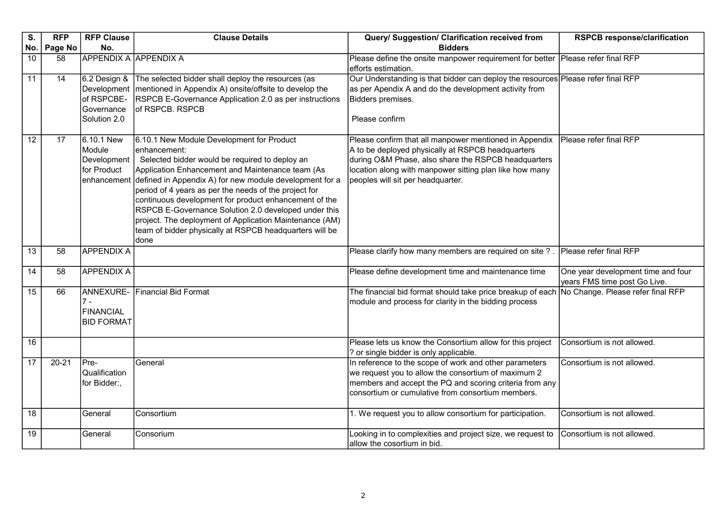| S.              | <b>RFP</b> | <b>RFP Clause</b>                                                       | <b>Clause Details</b>                                                                                                                                                                                                                                                                                                                                                                                                                                                                                                                          | Query/ Suggestion/ Clarification received from                                                                                                                                                                                                                     | <b>RSPCB response/clarification</b>                                |
|-----------------|------------|-------------------------------------------------------------------------|------------------------------------------------------------------------------------------------------------------------------------------------------------------------------------------------------------------------------------------------------------------------------------------------------------------------------------------------------------------------------------------------------------------------------------------------------------------------------------------------------------------------------------------------|--------------------------------------------------------------------------------------------------------------------------------------------------------------------------------------------------------------------------------------------------------------------|--------------------------------------------------------------------|
| No.             | Page No    | No.                                                                     |                                                                                                                                                                                                                                                                                                                                                                                                                                                                                                                                                | <b>Bidders</b>                                                                                                                                                                                                                                                     |                                                                    |
| 10              | 58         | <b>APPENDIX A APPENDIX A</b>                                            |                                                                                                                                                                                                                                                                                                                                                                                                                                                                                                                                                | Please define the onsite manpower requirement for better<br>efforts estimation.                                                                                                                                                                                    | Please refer final RFP                                             |
| 11              | 14         | 6.2 Design &<br>Development<br>of RSPCBE-<br>Governance<br>Solution 2.0 | The selected bidder shall deploy the resources (as<br>mentioned in Appendix A) onsite/offsite to develop the<br>RSPCB E-Governance Application 2.0 as per instructions<br>of RSPCB. RSPCB                                                                                                                                                                                                                                                                                                                                                      | Our Understanding is that bidder can deploy the resources Please refer final RFP<br>as per Apendix A and do the development activity from<br>Bidders premises.<br>Please confirm                                                                                   |                                                                    |
| $\overline{12}$ | 17         | 6.10.1 New<br>Module<br>Development<br>for Product                      | 6.10.1 New Module Development for Product<br>enhancement:<br>Selected bidder would be required to deploy an<br>Application Enhancement and Maintenance team (As<br>enhancement defined in Appendix A) for new module development for a<br>period of 4 years as per the needs of the project for<br>continuous development for product enhancement of the<br>RSPCB E-Governance Solution 2.0 developed under this<br>project. The deployment of Application Maintenance (AM)<br>team of bidder physically at RSPCB headquarters will be<br>done | Please confirm that all manpower mentioned in Appendix<br>A to be deployed physically at RSPCB headquarters<br>during O&M Phase, also share the RSPCB headquarters<br>location along with manpower sitting plan like how many<br>peoples will sit per headquarter. | Please refer final RFP                                             |
| $\overline{13}$ | 58         | <b>APPENDIX A</b>                                                       |                                                                                                                                                                                                                                                                                                                                                                                                                                                                                                                                                | Please clarify how many members are required on site?                                                                                                                                                                                                              | Please refer final RFP                                             |
| 14              | 58         | <b>APPENDIX A</b>                                                       |                                                                                                                                                                                                                                                                                                                                                                                                                                                                                                                                                | Please define development time and maintenance time                                                                                                                                                                                                                | One year development time and four<br>years FMS time post Go Live. |
| 15              | 66         | $7 -$<br><b>FINANCIAL</b><br><b>BID FORMAT</b>                          | ANNEXURE- Financial Bid Format                                                                                                                                                                                                                                                                                                                                                                                                                                                                                                                 | The financial bid format should take price breakup of each No Change. Please refer final RFP<br>module and process for clarity in the bidding process                                                                                                              |                                                                    |
| 16              |            |                                                                         |                                                                                                                                                                                                                                                                                                                                                                                                                                                                                                                                                | Please lets us know the Consortium allow for this project<br>? or single bidder is only applicable.                                                                                                                                                                | Consortium is not allowed.                                         |
| 17              | $20 - 21$  | Pre-<br>Qualification<br>for Bidder:,                                   | General                                                                                                                                                                                                                                                                                                                                                                                                                                                                                                                                        | In reference to the scope of work and other parameters<br>we request you to allow the consortium of maximum 2<br>members and accept the PQ and scoring criteria from any<br>consortium or cumulative from consortium members.                                      | Consortium is not allowed.                                         |
| $\overline{18}$ |            | General                                                                 | Consortium                                                                                                                                                                                                                                                                                                                                                                                                                                                                                                                                     | 1. We request you to allow consortium for participation.                                                                                                                                                                                                           | Consortium is not allowed.                                         |
| 19              |            | General                                                                 | Consorium                                                                                                                                                                                                                                                                                                                                                                                                                                                                                                                                      | Looking in to complexities and project size, we request to<br>allow the cosortium in bid.                                                                                                                                                                          | Consortium is not allowed.                                         |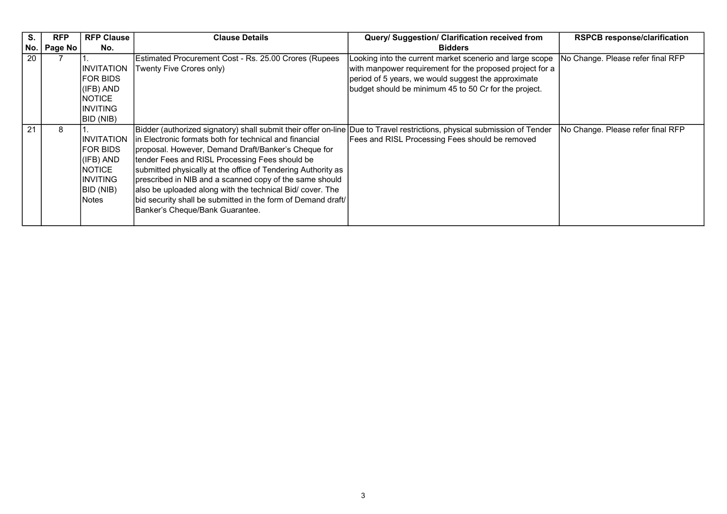| S.  | <b>RFP</b> | <b>RFP Clause</b>                                                                          | <b>Clause Details</b>                                                                                                                                                                                                                                                                                                                                                                                                                                                                                                                                                                  | Query/ Suggestion/ Clarification received from                                                                                                                                                                                       | <b>RSPCB response/clarification</b> |
|-----|------------|--------------------------------------------------------------------------------------------|----------------------------------------------------------------------------------------------------------------------------------------------------------------------------------------------------------------------------------------------------------------------------------------------------------------------------------------------------------------------------------------------------------------------------------------------------------------------------------------------------------------------------------------------------------------------------------------|--------------------------------------------------------------------------------------------------------------------------------------------------------------------------------------------------------------------------------------|-------------------------------------|
| No. | Page No    | No.                                                                                        |                                                                                                                                                                                                                                                                                                                                                                                                                                                                                                                                                                                        | <b>Bidders</b>                                                                                                                                                                                                                       |                                     |
| 20  |            | IINVITATION<br>FOR BIDS<br>(IFB) AND<br>INOTICE.<br>IINVITING<br>BID (NIB)                 | Estimated Procurement Cost - Rs. 25.00 Crores (Rupees<br>Twenty Five Crores only)                                                                                                                                                                                                                                                                                                                                                                                                                                                                                                      | Looking into the current market scenerio and large scope<br>with manpower requirement for the proposed project for a<br>period of 5 years, we would suggest the approximate<br>budget should be minimum 45 to 50 Cr for the project. | No Change. Please refer final RFP   |
| 21  | 8          | IINVITATION<br>IFOR BIDS<br>(IFB) AND<br><b>NOTICE</b><br>IINVITING<br>BID (NIB)<br>INotes | Bidder (authorized signatory) shall submit their offer on-line Due to Travel restrictions, physical submission of Tender<br>in Electronic formats both for technical and financial<br>proposal. However, Demand Draft/Banker's Cheque for<br>tender Fees and RISL Processing Fees should be<br>submitted physically at the office of Tendering Authority as<br>prescribed in NIB and a scanned copy of the same should<br>also be uploaded along with the technical Bid/ cover. The<br>bid security shall be submitted in the form of Demand draft/<br>Banker's Cheque/Bank Guarantee. | Fees and RISL Processing Fees should be removed                                                                                                                                                                                      | No Change. Please refer final RFP   |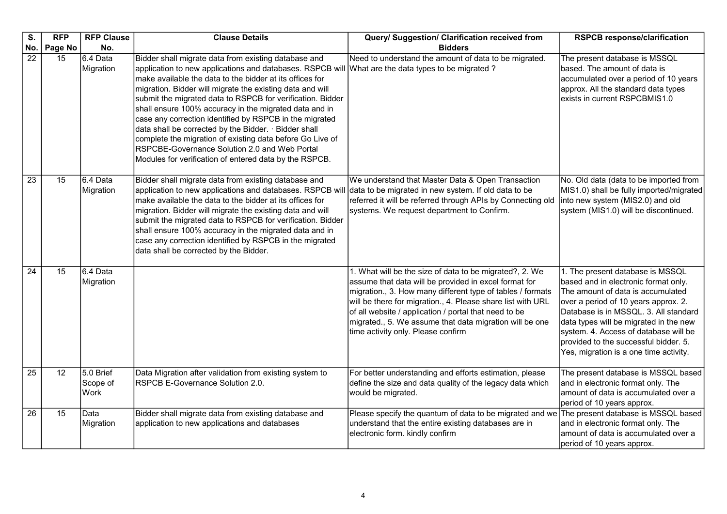| S.              | <b>RFP</b>      | <b>RFP Clause</b>             | <b>Clause Details</b>                                                                                                                                                                                                                                                                                                                                                                                                                                                                                                                                                                                                                                                                                  | Query/ Suggestion/ Clarification received from                                                                                                                                                                                                                                                                                                                                                          | <b>RSPCB response/clarification</b>                                                                                                                                                                                                                                                                                                                                  |
|-----------------|-----------------|-------------------------------|--------------------------------------------------------------------------------------------------------------------------------------------------------------------------------------------------------------------------------------------------------------------------------------------------------------------------------------------------------------------------------------------------------------------------------------------------------------------------------------------------------------------------------------------------------------------------------------------------------------------------------------------------------------------------------------------------------|---------------------------------------------------------------------------------------------------------------------------------------------------------------------------------------------------------------------------------------------------------------------------------------------------------------------------------------------------------------------------------------------------------|----------------------------------------------------------------------------------------------------------------------------------------------------------------------------------------------------------------------------------------------------------------------------------------------------------------------------------------------------------------------|
| No.             | Page No         | No.                           |                                                                                                                                                                                                                                                                                                                                                                                                                                                                                                                                                                                                                                                                                                        | <b>Bidders</b>                                                                                                                                                                                                                                                                                                                                                                                          |                                                                                                                                                                                                                                                                                                                                                                      |
| $\overline{22}$ | 15              | 6.4 Data<br>Migration         | Bidder shall migrate data from existing database and<br>application to new applications and databases. RSPCB will What are the data types to be migrated?<br>make available the data to the bidder at its offices for<br>migration. Bidder will migrate the existing data and will<br>submit the migrated data to RSPCB for verification. Bidder<br>shall ensure 100% accuracy in the migrated data and in<br>case any correction identified by RSPCB in the migrated<br>data shall be corrected by the Bidder. · Bidder shall<br>complete the migration of existing data before Go Live of<br>RSPCBE-Governance Solution 2.0 and Web Portal<br>Modules for verification of entered data by the RSPCB. | Need to understand the amount of data to be migrated.                                                                                                                                                                                                                                                                                                                                                   | The present database is MSSQL<br>based. The amount of data is<br>accumulated over a period of 10 years<br>approx. All the standard data types<br>exists in current RSPCBMIS1.0                                                                                                                                                                                       |
| $\overline{23}$ | 15              | 6.4 Data<br>Migration         | Bidder shall migrate data from existing database and<br>application to new applications and databases. RSPCB will<br>make available the data to the bidder at its offices for<br>migration. Bidder will migrate the existing data and will<br>submit the migrated data to RSPCB for verification. Bidder<br>shall ensure 100% accuracy in the migrated data and in<br>case any correction identified by RSPCB in the migrated<br>data shall be corrected by the Bidder.                                                                                                                                                                                                                                | We understand that Master Data & Open Transaction<br>data to be migrated in new system. If old data to be<br>referred it will be referred through APIs by Connecting old<br>systems. We request department to Confirm.                                                                                                                                                                                  | No. Old data (data to be imported from<br>MIS1.0) shall be fully imported/migrated<br>into new system (MIS2.0) and old<br>system (MIS1.0) will be discontinued.                                                                                                                                                                                                      |
| $\overline{24}$ | 15              | 6.4 Data<br>Migration         |                                                                                                                                                                                                                                                                                                                                                                                                                                                                                                                                                                                                                                                                                                        | 1. What will be the size of data to be migrated?, 2. We<br>assume that data will be provided in excel format for<br>migration., 3. How many different type of tables / formats<br>will be there for migration., 4. Please share list with URL<br>of all website / application / portal that need to be<br>migrated., 5. We assume that data migration will be one<br>time activity only. Please confirm | 1. The present database is MSSQL<br>based and in electronic format only.<br>The amount of data is accumulated<br>over a period of 10 years approx. 2.<br>Database is in MSSQL. 3. All standard<br>data types will be migrated in the new<br>system. 4. Access of database will be<br>provided to the successful bidder. 5.<br>Yes, migration is a one time activity. |
| $\overline{25}$ | $\overline{12}$ | 5.0 Brief<br>Scope of<br>Work | Data Migration after validation from existing system to<br>RSPCB E-Governance Solution 2.0.                                                                                                                                                                                                                                                                                                                                                                                                                                                                                                                                                                                                            | For better understanding and efforts estimation, please<br>define the size and data quality of the legacy data which<br>would be migrated.                                                                                                                                                                                                                                                              | The present database is MSSQL based<br>and in electronic format only. The<br>amount of data is accumulated over a<br>period of 10 years approx.                                                                                                                                                                                                                      |
| $\overline{26}$ | $\overline{15}$ | Data<br>Migration             | Bidder shall migrate data from existing database and<br>application to new applications and databases                                                                                                                                                                                                                                                                                                                                                                                                                                                                                                                                                                                                  | Please specify the quantum of data to be migrated and we The present database is MSSQL based<br>understand that the entire existing databases are in<br>electronic form. kindly confirm                                                                                                                                                                                                                 | and in electronic format only. The<br>amount of data is accumulated over a<br>period of 10 years approx.                                                                                                                                                                                                                                                             |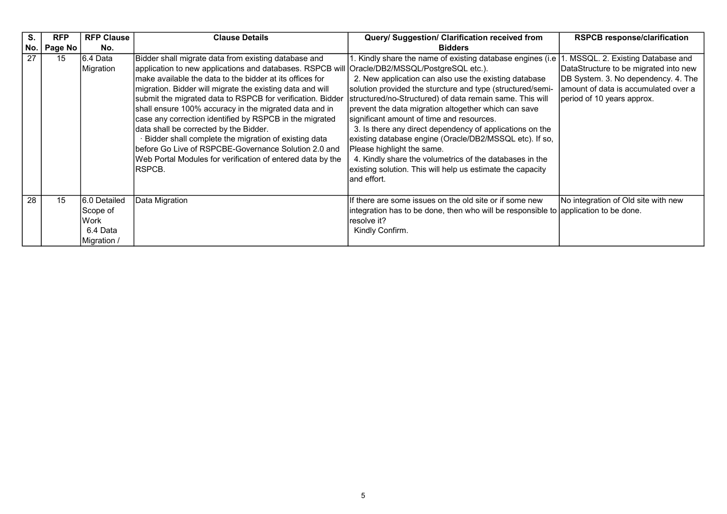| S.  | <b>RFP</b> | <b>RFP Clause</b> | <b>Clause Details</b>                                                                         | Query/ Suggestion/ Clarification received from                                      | <b>RSPCB response/clarification</b>   |
|-----|------------|-------------------|-----------------------------------------------------------------------------------------------|-------------------------------------------------------------------------------------|---------------------------------------|
| No. | Page No    | No.               |                                                                                               | <b>Bidders</b>                                                                      |                                       |
| 27  | 15         | I6.4 Data         | Bidder shall migrate data from existing database and                                          | 1. Kindly share the name of existing database engines (i.e   1                      | MSSQL. 2. Existing Database and       |
|     |            | Migration         | application to new applications and databases. RSPCB will  Oracle/DB2/MSSQL/PostgreSQL etc.). |                                                                                     | DataStructure to be migrated into new |
|     |            |                   | Imake available the data to the bidder at its offices for                                     | 2. New application can also use the existing database                               | DB System. 3. No dependency. 4. The   |
|     |            |                   | migration. Bidder will migrate the existing data and will                                     | solution provided the sturcture and type (structured/semi-                          | amount of data is accumulated over a  |
|     |            |                   | submit the migrated data to RSPCB for verification. Bidder                                    | structured/no-Structured) of data remain same. This will                            | period of 10 years approx.            |
|     |            |                   | shall ensure 100% accuracy in the migrated data and in                                        | prevent the data migration altogether which can save                                |                                       |
|     |            |                   | case any correction identified by RSPCB in the migrated                                       | significant amount of time and resources.                                           |                                       |
|     |            |                   | data shall be corrected by the Bidder.                                                        | 3. Is there any direct dependency of applications on the                            |                                       |
|     |            |                   | Bidder shall complete the migration of existing data                                          | existing database engine (Oracle/DB2/MSSQL etc). If so,                             |                                       |
|     |            |                   | before Go Live of RSPCBE-Governance Solution 2.0 and                                          | Please highlight the same.                                                          |                                       |
|     |            |                   | Web Portal Modules for verification of entered data by the                                    | 4. Kindly share the volumetrics of the databases in the                             |                                       |
|     |            |                   | IRSPCB.                                                                                       | existing solution. This will help us estimate the capacity                          |                                       |
|     |            |                   |                                                                                               | Iand effort.                                                                        |                                       |
|     |            |                   |                                                                                               |                                                                                     |                                       |
| 28  | 15         | I6.0 Detailed     | Data Migration                                                                                | If there are some issues on the old site or if some new                             | No integration of Old site with new   |
|     |            | Scope of          |                                                                                               | integration has to be done, then who will be responsible to application to be done. |                                       |
|     |            | Work              |                                                                                               | Iresolve it?                                                                        |                                       |
|     |            | 6.4 Data          |                                                                                               | Kindly Confirm.                                                                     |                                       |
|     |            | Migration /       |                                                                                               |                                                                                     |                                       |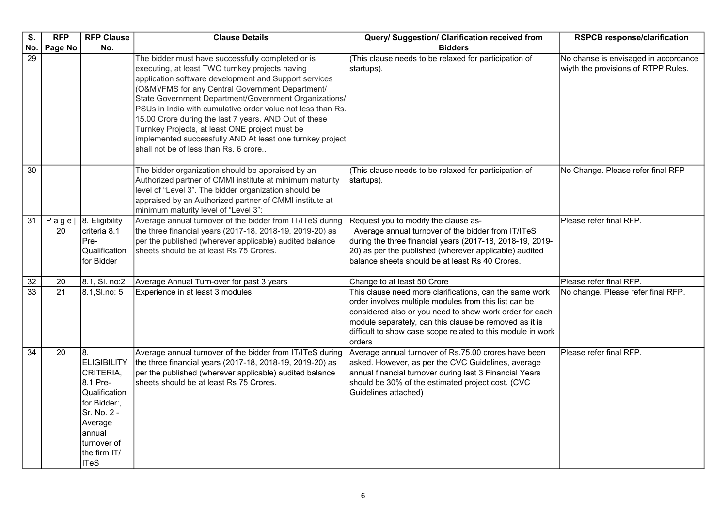| S.              | <b>RFP</b>      | <b>RFP Clause</b>                                                                                                                                                           | <b>Clause Details</b>                                                                                                                                                                                                                                                                                                                                                                                                                                                                                                                                      | Query/ Suggestion/ Clarification received from                                                                                                                                                                                                                                                                 | <b>RSPCB response/clarification</b>                                         |
|-----------------|-----------------|-----------------------------------------------------------------------------------------------------------------------------------------------------------------------------|------------------------------------------------------------------------------------------------------------------------------------------------------------------------------------------------------------------------------------------------------------------------------------------------------------------------------------------------------------------------------------------------------------------------------------------------------------------------------------------------------------------------------------------------------------|----------------------------------------------------------------------------------------------------------------------------------------------------------------------------------------------------------------------------------------------------------------------------------------------------------------|-----------------------------------------------------------------------------|
| No.             | Page No         | No.                                                                                                                                                                         |                                                                                                                                                                                                                                                                                                                                                                                                                                                                                                                                                            | <b>Bidders</b>                                                                                                                                                                                                                                                                                                 |                                                                             |
| 29              |                 |                                                                                                                                                                             | The bidder must have successfully completed or is<br>executing, at least TWO turnkey projects having<br>application software development and Support services<br>(O&M)/FMS for any Central Government Department/<br>State Government Department/Government Organizations/<br>PSUs in India with cumulative order value not less than Rs.<br>15.00 Crore during the last 7 years. AND Out of these<br>Turnkey Projects, at least ONE project must be<br>implemented successfully AND At least one turnkey project<br>shall not be of less than Rs. 6 crore | (This clause needs to be relaxed for participation of<br>startups).                                                                                                                                                                                                                                            | No chanse is envisaged in accordance<br>wiyth the provisions of RTPP Rules. |
| 30              |                 |                                                                                                                                                                             | The bidder organization should be appraised by an<br>Authorized partner of CMMI institute at minimum maturity<br>level of "Level 3". The bidder organization should be<br>appraised by an Authorized partner of CMMI institute at<br>minimum maturity level of "Level 3":                                                                                                                                                                                                                                                                                  | (This clause needs to be relaxed for participation of<br>startups).                                                                                                                                                                                                                                            | No Change. Please refer final RFP                                           |
| $\overline{31}$ | $P$ age<br>20   | 8. Eligibility<br>criteria 8.1<br>Pre-<br>Qualification<br>for Bidder                                                                                                       | Average annual turnover of the bidder from IT/ITeS during<br>the three financial years (2017-18, 2018-19, 2019-20) as<br>per the published (wherever applicable) audited balance<br>sheets should be at least Rs 75 Crores.                                                                                                                                                                                                                                                                                                                                | Request you to modify the clause as-<br>Average annual turnover of the bidder from IT/ITeS<br>during the three financial years (2017-18, 2018-19, 2019-<br>20) as per the published (wherever applicable) audited<br>balance sheets should be at least Rs 40 Crores.                                           | Please refer final RFP.                                                     |
| 32              | 20              | 8.1, SI. no:2                                                                                                                                                               | Average Annual Turn-over for past 3 years                                                                                                                                                                                                                                                                                                                                                                                                                                                                                                                  | Change to at least 50 Crore                                                                                                                                                                                                                                                                                    | Please refer final RFP.                                                     |
| 33              | $\overline{21}$ | 8.1, SI.no: 5                                                                                                                                                               | Experience in at least 3 modules                                                                                                                                                                                                                                                                                                                                                                                                                                                                                                                           | This clause need more clarifications, can the same work<br>order involves multiple modules from this list can be<br>considered also or you need to show work order for each<br>module separately, can this clause be removed as it is<br>difficult to show case scope related to this module in work<br>orders | No change. Please refer final RFP.                                          |
| $\overline{34}$ | 20              | 18.<br><b>ELIGIBILITY</b><br>CRITERIA,<br>8.1 Pre-<br>Qualification<br>for Bidder:,<br>Sr. No. 2 -<br>Average<br>annual<br>turnover of<br>the firm IT/<br>IT <sub>e</sub> S | Average annual turnover of the bidder from IT/ITeS during<br>the three financial years (2017-18, 2018-19, 2019-20) as<br>per the published (wherever applicable) audited balance<br>sheets should be at least Rs 75 Crores.                                                                                                                                                                                                                                                                                                                                | Average annual turnover of Rs.75.00 crores have been<br>asked. However, as per the CVC Guidelines, average<br>annual financial turnover during last 3 Financial Years<br>should be 30% of the estimated project cost. (CVC<br>Guidelines attached)                                                             | Please refer final RFP.                                                     |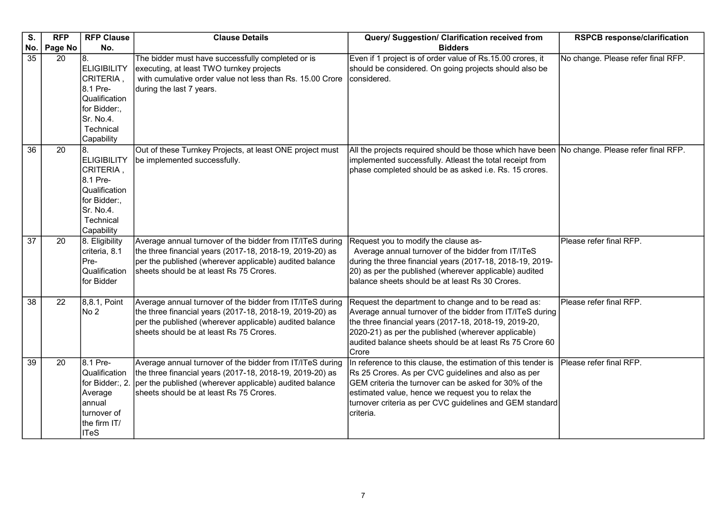| S.              | <b>RFP</b> | <b>RFP Clause</b>                                                                                                                         | <b>Clause Details</b>                                                                                                                                                                                                       | Query/ Suggestion/ Clarification received from                                                                                                                                                                                                                                                               | <b>RSPCB response/clarification</b> |
|-----------------|------------|-------------------------------------------------------------------------------------------------------------------------------------------|-----------------------------------------------------------------------------------------------------------------------------------------------------------------------------------------------------------------------------|--------------------------------------------------------------------------------------------------------------------------------------------------------------------------------------------------------------------------------------------------------------------------------------------------------------|-------------------------------------|
| No.             | Page No    | No.                                                                                                                                       |                                                                                                                                                                                                                             | <b>Bidders</b>                                                                                                                                                                                                                                                                                               |                                     |
| 35              | 20         | 18.<br><b>ELIGIBILITY</b><br>CRITERIA,<br>8.1 Pre-<br>Qualification<br>for Bidder:,<br>Sr. No.4.<br>Technical                             | The bidder must have successfully completed or is<br>executing, at least TWO turnkey projects<br>with cumulative order value not less than Rs. 15.00 Crore<br>during the last 7 years.                                      | Even if 1 project is of order value of Rs.15.00 crores, it<br>should be considered. On going projects should also be<br>considered.                                                                                                                                                                          | No change. Please refer final RFP.  |
| $\overline{36}$ | 20         | Capability<br>l8.<br><b>ELIGIBILITY</b><br>CRITERIA,<br>8.1 Pre-<br>Qualification<br>for Bidder:,<br>Sr. No.4.<br>Technical<br>Capability | Out of these Turnkey Projects, at least ONE project must<br>be implemented successfully.                                                                                                                                    | All the projects required should be those which have been<br>implemented successfully. Atleast the total receipt from<br>phase completed should be as asked i.e. Rs. 15 crores.                                                                                                                              | No change. Please refer final RFP.  |
| $\overline{37}$ | 20         | 8. Eligibility<br>criteria, 8.1<br>Pre-<br>Qualification<br>for Bidder                                                                    | Average annual turnover of the bidder from IT/ITeS during<br>the three financial years (2017-18, 2018-19, 2019-20) as<br>per the published (wherever applicable) audited balance<br>sheets should be at least Rs 75 Crores. | Request you to modify the clause as-<br>Average annual turnover of the bidder from IT/ITeS<br>during the three financial years (2017-18, 2018-19, 2019-<br>20) as per the published (wherever applicable) audited<br>balance sheets should be at least Rs 30 Crores.                                         | Please refer final RFP.             |
| 38              | 22         | 8,8.1, Point<br>No 2                                                                                                                      | Average annual turnover of the bidder from IT/ITeS during<br>the three financial years (2017-18, 2018-19, 2019-20) as<br>per the published (wherever applicable) audited balance<br>sheets should be at least Rs 75 Crores. | Request the department to change and to be read as:<br>Average annual turnover of the bidder from IT/ITeS during<br>the three financial years (2017-18, 2018-19, 2019-20,<br>2020-21) as per the published (wherever applicable)<br>audited balance sheets should be at least Rs 75 Crore 60<br>Crore        | Please refer final RFP.             |
| 39              | 20         | 8.1 Pre-<br>Qualification<br>for Bidder:, 2.<br>Average<br> annual<br>turnover of<br>the firm IT/<br><b>ITeS</b>                          | Average annual turnover of the bidder from IT/ITeS during<br>the three financial years (2017-18, 2018-19, 2019-20) as<br>per the published (wherever applicable) audited balance<br>sheets should be at least Rs 75 Crores. | In reference to this clause, the estimation of this tender is<br>Rs 25 Crores. As per CVC guidelines and also as per<br>GEM criteria the turnover can be asked for 30% of the<br>estimated value, hence we request you to relax the<br>turnover criteria as per CVC guidelines and GEM standard<br>criteria. | Please refer final RFP.             |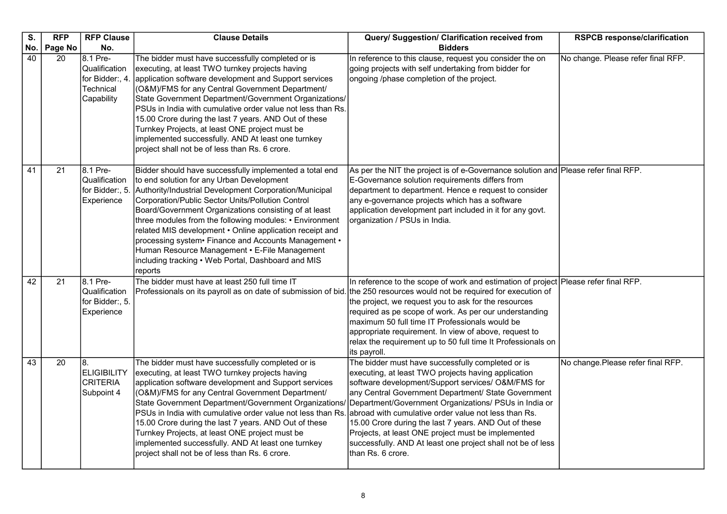| S.              | <b>RFP</b> | <b>RFP Clause</b>                                                      | <b>Clause Details</b>                                                                                                                                                                                                                                                                                                                                                                                                                                                                                                                                                         | Query/ Suggestion/ Clarification received from                                                                                                                                                                                                                                                                                                                                                                                                                                                                                            | <b>RSPCB response/clarification</b> |
|-----------------|------------|------------------------------------------------------------------------|-------------------------------------------------------------------------------------------------------------------------------------------------------------------------------------------------------------------------------------------------------------------------------------------------------------------------------------------------------------------------------------------------------------------------------------------------------------------------------------------------------------------------------------------------------------------------------|-------------------------------------------------------------------------------------------------------------------------------------------------------------------------------------------------------------------------------------------------------------------------------------------------------------------------------------------------------------------------------------------------------------------------------------------------------------------------------------------------------------------------------------------|-------------------------------------|
| No.             | Page No    | No.                                                                    |                                                                                                                                                                                                                                                                                                                                                                                                                                                                                                                                                                               | <b>Bidders</b>                                                                                                                                                                                                                                                                                                                                                                                                                                                                                                                            |                                     |
| 40              | 20         | 8.1 Pre-<br>Qualification<br>for Bidder:, 4<br>Technical<br>Capability | The bidder must have successfully completed or is<br>executing, at least TWO turnkey projects having<br>application software development and Support services<br>(O&M)/FMS for any Central Government Department/<br>State Government Department/Government Organizations/<br>PSUs in India with cumulative order value not less than Rs.<br>15.00 Crore during the last 7 years. AND Out of these<br>Turnkey Projects, at least ONE project must be<br>implemented successfully. AND At least one turnkey<br>project shall not be of less than Rs. 6 crore.                  | In reference to this clause, request you consider the on<br>going projects with self undertaking from bidder for<br>ongoing /phase completion of the project.                                                                                                                                                                                                                                                                                                                                                                             | No change. Please refer final RFP.  |
| $\overline{41}$ | 21         | 8.1 Pre-<br>Qualification<br>for Bidder:, 5.<br>Experience             | Bidder should have successfully implemented a total end<br>to end solution for any Urban Development<br>Authority/Industrial Development Corporation/Municipal<br>Corporation/Public Sector Units/Pollution Control<br>Board/Government Organizations consisting of at least<br>three modules from the following modules: • Environment<br>related MIS development . Online application receipt and<br>processing system• Finance and Accounts Management •<br>Human Resource Management • E-File Management<br>including tracking • Web Portal, Dashboard and MIS<br>reports | As per the NIT the project is of e-Governance solution and Please refer final RFP.<br>E-Governance solution requirements differs from<br>department to department. Hence e request to consider<br>any e-governance projects which has a software<br>application development part included in it for any govt.<br>organization / PSUs in India.                                                                                                                                                                                            |                                     |
| 42              | 21         | 8.1 Pre-<br>Qualification<br>for Bidder:, 5.<br>Experience             | The bidder must have at least 250 full time IT<br>Professionals on its payroll as on date of submission of bid.                                                                                                                                                                                                                                                                                                                                                                                                                                                               | In reference to the scope of work and estimation of project Please refer final RFP.<br>the 250 resources would not be required for execution of<br>the project, we request you to ask for the resources<br>required as pe scope of work. As per our understanding<br>maximum 50 full time IT Professionals would be<br>appropriate requirement. In view of above, request to<br>relax the requirement up to 50 full time It Professionals on<br>its payroll.                                                                              |                                     |
| 43              | 20         | 8.<br><b>ELIGIBILITY</b><br><b>CRITERIA</b><br>Subpoint 4              | The bidder must have successfully completed or is<br>executing, at least TWO turnkey projects having<br>application software development and Support services<br>(O&M)/FMS for any Central Government Department/<br>State Government Department/Government Organizations/<br>PSUs in India with cumulative order value not less than Rs.<br>15.00 Crore during the last 7 years. AND Out of these<br>Turnkey Projects, at least ONE project must be<br>implemented successfully. AND At least one turnkey<br>project shall not be of less than Rs. 6 crore.                  | The bidder must have successfully completed or is<br>executing, at least TWO projects having application<br>software development/Support services/ O&M/FMS for<br>any Central Government Department/ State Government<br>Department/Government Organizations/ PSUs in India or<br>abroad with cumulative order value not less than Rs.<br>15.00 Crore during the last 7 years. AND Out of these<br>Projects, at least ONE project must be implemented<br>successfully. AND At least one project shall not be of less<br>than Rs. 6 crore. | No change.Please refer final RFP.   |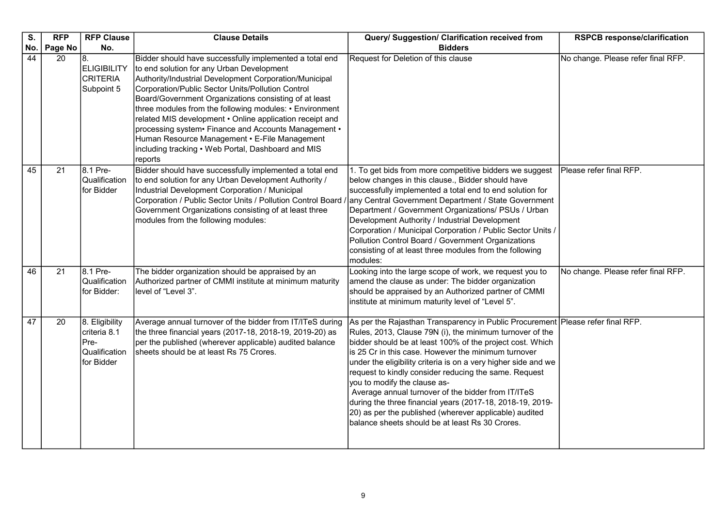| S.<br>No.       | <b>RFP</b>    | <b>RFP Clause</b><br>No.                                              | <b>Clause Details</b>                                                                                                                                                                                                                                                                                                                                                                                                                                                                                                                                                          | Query/ Suggestion/ Clarification received from<br><b>Bidders</b>                                                                                                                                                                                                                                                                                                                                                                                                                                                                                                                                                                                           | <b>RSPCB response/clarification</b> |
|-----------------|---------------|-----------------------------------------------------------------------|--------------------------------------------------------------------------------------------------------------------------------------------------------------------------------------------------------------------------------------------------------------------------------------------------------------------------------------------------------------------------------------------------------------------------------------------------------------------------------------------------------------------------------------------------------------------------------|------------------------------------------------------------------------------------------------------------------------------------------------------------------------------------------------------------------------------------------------------------------------------------------------------------------------------------------------------------------------------------------------------------------------------------------------------------------------------------------------------------------------------------------------------------------------------------------------------------------------------------------------------------|-------------------------------------|
| 44              | Page No<br>20 | 8.<br><b>ELIGIBILITY</b><br><b>CRITERIA</b><br>Subpoint 5             | Bidder should have successfully implemented a total end<br>to end solution for any Urban Development<br>Authority/Industrial Development Corporation/Municipal<br>Corporation/Public Sector Units/Pollution Control<br>Board/Government Organizations consisting of at least<br>three modules from the following modules: • Environment<br>related MIS development . Online application receipt and<br>processing system · Finance and Accounts Management .<br>Human Resource Management • E-File Management<br>including tracking • Web Portal, Dashboard and MIS<br>reports | Request for Deletion of this clause                                                                                                                                                                                                                                                                                                                                                                                                                                                                                                                                                                                                                        | No change. Please refer final RFP.  |
| 45              | 21            | 8.1 Pre-<br>Qualification<br>for Bidder                               | Bidder should have successfully implemented a total end<br>to end solution for any Urban Development Authority /<br>Industrial Development Corporation / Municipal<br>Corporation / Public Sector Units / Pollution Control Board<br>Government Organizations consisting of at least three<br>modules from the following modules:                                                                                                                                                                                                                                              | 1. To get bids from more competitive bidders we suggest<br>below changes in this clause., Bidder should have<br>successfully implemented a total end to end solution for<br>any Central Government Department / State Government<br>Department / Government Organizations/ PSUs / Urban<br>Development Authority / Industrial Development<br>Corporation / Municipal Corporation / Public Sector Units /<br>Pollution Control Board / Government Organizations<br>consisting of at least three modules from the following<br>modules:                                                                                                                      | Please refer final RFP.             |
| 46              | 21            | 8.1 Pre-<br>Qualification<br>for Bidder:                              | The bidder organization should be appraised by an<br>Authorized partner of CMMI institute at minimum maturity<br>level of "Level 3".                                                                                                                                                                                                                                                                                                                                                                                                                                           | Looking into the large scope of work, we request you to<br>amend the clause as under: The bidder organization<br>should be appraised by an Authorized partner of CMMI<br>institute at minimum maturity level of "Level 5".                                                                                                                                                                                                                                                                                                                                                                                                                                 | No change. Please refer final RFP.  |
| $\overline{47}$ | 20            | 8. Eligibility<br>criteria 8.1<br>Pre-<br>Qualification<br>for Bidder | Average annual turnover of the bidder from IT/ITeS during<br>the three financial years (2017-18, 2018-19, 2019-20) as<br>per the published (wherever applicable) audited balance<br>sheets should be at least Rs 75 Crores.                                                                                                                                                                                                                                                                                                                                                    | As per the Rajasthan Transparency in Public Procurement Please refer final RFP.<br>Rules, 2013, Clause 79N (i), the minimum turnover of the<br>bidder should be at least 100% of the project cost. Which<br>is 25 Cr in this case. However the minimum turnover<br>under the eligibility criteria is on a very higher side and we<br>request to kindly consider reducing the same. Request<br>you to modify the clause as-<br>Average annual turnover of the bidder from IT/ITeS<br>during the three financial years (2017-18, 2018-19, 2019-<br>20) as per the published (wherever applicable) audited<br>balance sheets should be at least Rs 30 Crores. |                                     |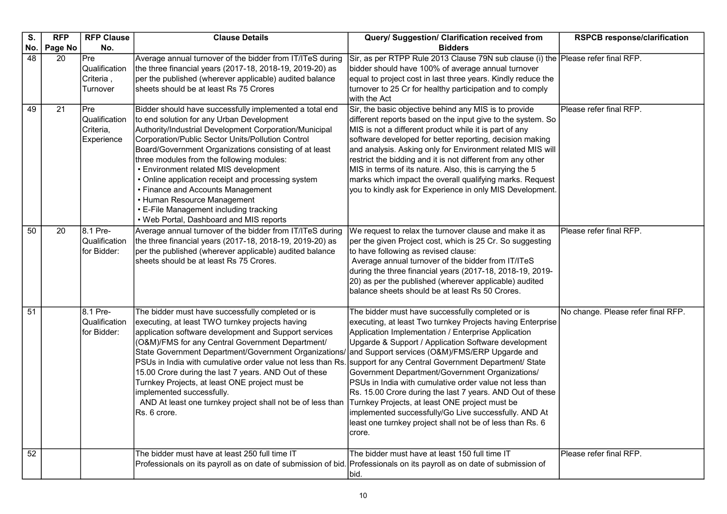| S.  | <b>RFP</b> | <b>RFP Clause</b>                                      | <b>Clause Details</b>                                                                                                                                                                                                                                                                                                                                                                                                                                                                                                                                                             | Query/ Suggestion/ Clarification received from                                                                                                                                                                                                                                                                                                                                                                                                                                                                                                                                                                                                                                                        | <b>RSPCB response/clarification</b> |
|-----|------------|--------------------------------------------------------|-----------------------------------------------------------------------------------------------------------------------------------------------------------------------------------------------------------------------------------------------------------------------------------------------------------------------------------------------------------------------------------------------------------------------------------------------------------------------------------------------------------------------------------------------------------------------------------|-------------------------------------------------------------------------------------------------------------------------------------------------------------------------------------------------------------------------------------------------------------------------------------------------------------------------------------------------------------------------------------------------------------------------------------------------------------------------------------------------------------------------------------------------------------------------------------------------------------------------------------------------------------------------------------------------------|-------------------------------------|
| No. | Page No    | No.                                                    |                                                                                                                                                                                                                                                                                                                                                                                                                                                                                                                                                                                   | <b>Bidders</b>                                                                                                                                                                                                                                                                                                                                                                                                                                                                                                                                                                                                                                                                                        |                                     |
| 48  | 20         | Pre<br>Qualification<br>Criteria,<br>Turnover          | Average annual turnover of the bidder from IT/ITeS during<br>the three financial years (2017-18, 2018-19, 2019-20) as<br>per the published (wherever applicable) audited balance<br>sheets should be at least Rs 75 Crores                                                                                                                                                                                                                                                                                                                                                        | Sir, as per RTPP Rule 2013 Clause 79N sub clause (i) the Please refer final RFP.<br>bidder should have 100% of average annual turnover<br>equal to project cost in last three years. Kindly reduce the<br>turnover to 25 Cr for healthy participation and to comply<br>with the Act                                                                                                                                                                                                                                                                                                                                                                                                                   |                                     |
| 49  | 21         | <b>Pre</b><br>Qualification<br>Criteria,<br>Experience | Bidder should have successfully implemented a total end<br>to end solution for any Urban Development<br>Authority/Industrial Development Corporation/Municipal<br>Corporation/Public Sector Units/Pollution Control<br>Board/Government Organizations consisting of at least<br>three modules from the following modules:<br>• Environment related MIS development<br>• Online application receipt and processing system<br>• Finance and Accounts Management<br>• Human Resource Management<br>• E-File Management including tracking<br>• Web Portal, Dashboard and MIS reports | Sir, the basic objective behind any MIS is to provide<br>different reports based on the input give to the system. So<br>MIS is not a different product while it is part of any<br>software developed for better reporting, decision making<br>and analysis. Asking only for Environment related MIS will<br>restrict the bidding and it is not different from any other<br>MIS in terms of its nature. Also, this is carrying the 5<br>marks which impact the overall qualifying marks. Request<br>you to kindly ask for Experience in only MIS Development.                                                                                                                                          | Please refer final RFP.             |
| 50  | 20         | 8.1 Pre-<br>Qualification<br>for Bidder:               | Average annual turnover of the bidder from IT/ITeS during<br>the three financial years (2017-18, 2018-19, 2019-20) as<br>per the published (wherever applicable) audited balance<br>sheets should be at least Rs 75 Crores.                                                                                                                                                                                                                                                                                                                                                       | We request to relax the turnover clause and make it as<br>per the given Project cost, which is 25 Cr. So suggesting<br>to have following as revised clause:<br>Average annual turnover of the bidder from IT/ITeS<br>during the three financial years (2017-18, 2018-19, 2019-<br>20) as per the published (wherever applicable) audited<br>balance sheets should be at least Rs 50 Crores.                                                                                                                                                                                                                                                                                                           | Please refer final RFP.             |
| 51  |            | 8.1 Pre-<br>Qualification<br>for Bidder:               | The bidder must have successfully completed or is<br>executing, at least TWO turnkey projects having<br>application software development and Support services<br>(O&M)/FMS for any Central Government Department/<br>State Government Department/Government Organizations/<br>PSUs in India with cumulative order value not less than Rs.<br>15.00 Crore during the last 7 years. AND Out of these<br>Turnkey Projects, at least ONE project must be<br>implemented successfully.<br>AND At least one turnkey project shall not be of less than<br>Rs. 6 crore.                   | The bidder must have successfully completed or is<br>executing, at least Two turnkey Projects having Enterprise<br>Application Implementation / Enterprise Application<br>Upgarde & Support / Application Software development<br>and Support services (O&M)/FMS/ERP Upgarde and<br>support for any Central Government Department/ State<br>Government Department/Government Organizations/<br>PSUs in India with cumulative order value not less than<br>Rs. 15.00 Crore during the last 7 years. AND Out of these<br>Turnkey Projects, at least ONE project must be<br>implemented successfully/Go Live successfully. AND At<br>least one turnkey project shall not be of less than Rs. 6<br>crore. | No change. Please refer final RFP.  |
| 52  |            |                                                        | The bidder must have at least 250 full time IT<br>Professionals on its payroll as on date of submission of bid. Professionals on its payroll as on date of submission of                                                                                                                                                                                                                                                                                                                                                                                                          | The bidder must have at least 150 full time IT<br>bid.                                                                                                                                                                                                                                                                                                                                                                                                                                                                                                                                                                                                                                                | Please refer final RFP.             |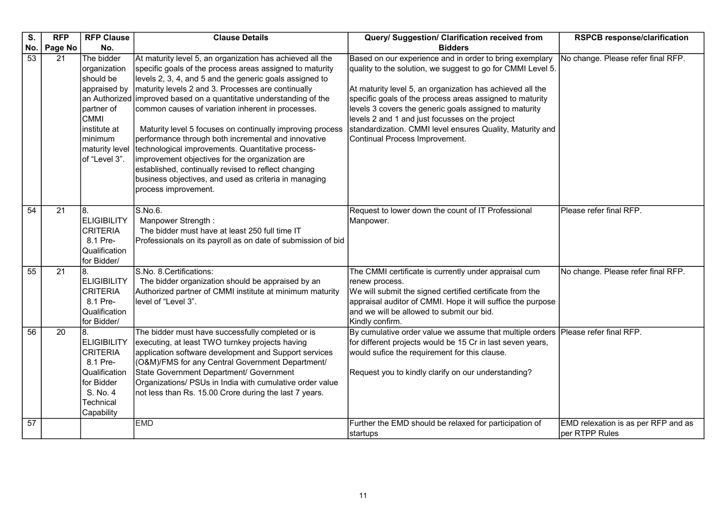| S.              | <b>RFP</b> | <b>RFP Clause</b>                                                                                                                                  | <b>Clause Details</b>                                                                                                                                                                                                                                                                                                                                                                                                                                                                                                                                                                                                                                                                                                                   | Query/ Suggestion/ Clarification received from                                                                                                                                                                                                                                                                                                                                                                                                              | <b>RSPCB response/clarification</b>                   |
|-----------------|------------|----------------------------------------------------------------------------------------------------------------------------------------------------|-----------------------------------------------------------------------------------------------------------------------------------------------------------------------------------------------------------------------------------------------------------------------------------------------------------------------------------------------------------------------------------------------------------------------------------------------------------------------------------------------------------------------------------------------------------------------------------------------------------------------------------------------------------------------------------------------------------------------------------------|-------------------------------------------------------------------------------------------------------------------------------------------------------------------------------------------------------------------------------------------------------------------------------------------------------------------------------------------------------------------------------------------------------------------------------------------------------------|-------------------------------------------------------|
| No.             | Page No    | No.                                                                                                                                                |                                                                                                                                                                                                                                                                                                                                                                                                                                                                                                                                                                                                                                                                                                                                         | <b>Bidders</b>                                                                                                                                                                                                                                                                                                                                                                                                                                              |                                                       |
| $\overline{53}$ | 21         | The bidder<br>organization<br>should be<br>appraised by<br>partner of<br><b>CMMI</b><br>institute at<br>minimum<br>maturity level<br>of "Level 3". | At maturity level 5, an organization has achieved all the<br>specific goals of the process areas assigned to maturity<br>levels 2, 3, 4, and 5 and the generic goals assigned to<br>maturity levels 2 and 3. Processes are continually<br>an Authorized improved based on a quantitative understanding of the<br>common causes of variation inherent in processes.<br>Maturity level 5 focuses on continually improving process<br>performance through both incremental and innovative<br>technological improvements. Quantitative process-<br>improvement objectives for the organization are<br>established, continually revised to reflect changing<br>business objectives, and used as criteria in managing<br>process improvement. | Based on our experience and in order to bring exemplary<br>quality to the solution, we suggest to go for CMMI Level 5.<br>At maturity level 5, an organization has achieved all the<br>specific goals of the process areas assigned to maturity<br>levels 3 covers the generic goals assigned to maturity<br>levels 2 and 1 and just focusses on the project<br>standardization. CMMI level ensures Quality, Maturity and<br>Continual Process Improvement. | No change. Please refer final RFP.                    |
| 54              | 21         | 8.<br><b>ELIGIBILITY</b><br><b>CRITERIA</b><br>8.1 Pre-<br>Qualification<br>for Bidder/                                                            | S.No.6.<br>Manpower Strength:<br>The bidder must have at least 250 full time IT<br>Professionals on its payroll as on date of submission of bid                                                                                                                                                                                                                                                                                                                                                                                                                                                                                                                                                                                         | Request to lower down the count of IT Professional<br>Manpower.                                                                                                                                                                                                                                                                                                                                                                                             | Please refer final RFP.                               |
| 55              | 21         | 8.<br><b>ELIGIBILITY</b><br><b>CRITERIA</b><br>8.1 Pre-<br>Qualification<br>for Bidder/                                                            | S.No. 8.Certifications:<br>The bidder organization should be appraised by an<br>Authorized partner of CMMI institute at minimum maturity<br>level of "Level 3".                                                                                                                                                                                                                                                                                                                                                                                                                                                                                                                                                                         | The CMMI certificate is currently under appraisal cum<br>renew process.<br>We will submit the signed certified certificate from the<br>appraisal auditor of CMMI. Hope it will suffice the purpose<br>and we will be allowed to submit our bid.<br>Kindly confirm.                                                                                                                                                                                          | No change. Please refer final RFP.                    |
| 56              | 20         | 8.<br><b>ELIGIBILITY</b><br><b>CRITERIA</b><br>8.1 Pre-<br>Qualification<br>for Bidder<br>S. No. 4<br>Technical<br>Capability                      | The bidder must have successfully completed or is<br>executing, at least TWO turnkey projects having<br>application software development and Support services<br>(O&M)/FMS for any Central Government Department/<br>State Government Department/ Government<br>Organizations/ PSUs in India with cumulative order value<br>not less than Rs. 15.00 Crore during the last 7 years.                                                                                                                                                                                                                                                                                                                                                      | By cumulative order value we assume that multiple orders   Please refer final RFP.<br>for different projects would be 15 Cr in last seven years,<br>would sufice the requirement for this clause.<br>Request you to kindly clarify on our understanding?                                                                                                                                                                                                    |                                                       |
| 57              |            |                                                                                                                                                    | <b>EMD</b>                                                                                                                                                                                                                                                                                                                                                                                                                                                                                                                                                                                                                                                                                                                              | Further the EMD should be relaxed for participation of<br>startups                                                                                                                                                                                                                                                                                                                                                                                          | EMD relexation is as per RFP and as<br>per RTPP Rules |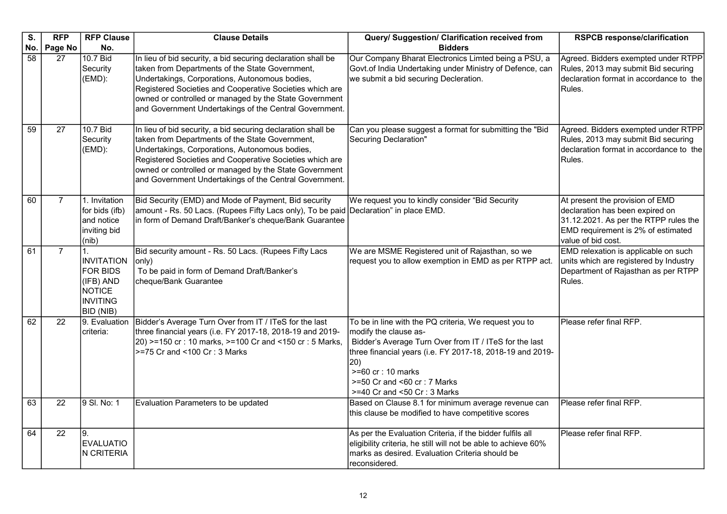| S.              | <b>RFP</b>      | <b>RFP Clause</b>                                                                           | <b>Clause Details</b>                                                                                                                                                                                                                                                                                                                             | Query/ Suggestion/ Clarification received from                                                                                                                                                                                                                                                                      | <b>RSPCB response/clarification</b>                                                                                                                                     |
|-----------------|-----------------|---------------------------------------------------------------------------------------------|---------------------------------------------------------------------------------------------------------------------------------------------------------------------------------------------------------------------------------------------------------------------------------------------------------------------------------------------------|---------------------------------------------------------------------------------------------------------------------------------------------------------------------------------------------------------------------------------------------------------------------------------------------------------------------|-------------------------------------------------------------------------------------------------------------------------------------------------------------------------|
| No.             | Page No         | No.                                                                                         |                                                                                                                                                                                                                                                                                                                                                   | <b>Bidders</b>                                                                                                                                                                                                                                                                                                      |                                                                                                                                                                         |
| 58              | 27              | 10.7 Bid<br>Security<br>(EMD):                                                              | In lieu of bid security, a bid securing declaration shall be<br>taken from Departments of the State Government,<br>Undertakings, Corporations, Autonomous bodies,<br>Registered Societies and Cooperative Societies which are<br>owned or controlled or managed by the State Government<br>and Government Undertakings of the Central Government. | Our Company Bharat Electronics Limted being a PSU, a<br>Govt.of India Undertaking under Ministry of Defence, can<br>we submit a bid securing Decleration.                                                                                                                                                           | Agreed. Bidders exempted under RTPP<br>Rules, 2013 may submit Bid securing<br>declaration format in accordance to the<br>Rules.                                         |
| $\overline{59}$ | 27              | 10.7 Bid<br>Security<br>(EMD):                                                              | In lieu of bid security, a bid securing declaration shall be<br>taken from Departments of the State Government,<br>Undertakings, Corporations, Autonomous bodies,<br>Registered Societies and Cooperative Societies which are<br>owned or controlled or managed by the State Government<br>and Government Undertakings of the Central Government. | Can you please suggest a format for submitting the "Bid<br>Securing Declaration"                                                                                                                                                                                                                                    | Agreed. Bidders exempted under RTPP<br>Rules, 2013 may submit Bid securing<br>declaration format in accordance to the<br>Rules.                                         |
| 60              | $\overline{7}$  | 1. Invitation<br>for bids (ifb)<br>and notice<br>inviting bid<br>(nib)                      | Bid Security (EMD) and Mode of Payment, Bid security<br>amount - Rs. 50 Lacs. (Rupees Fifty Lacs only), To be paid Declaration" in place EMD.<br>in form of Demand Draft/Banker's cheque/Bank Guarantee                                                                                                                                           | We request you to kindly consider "Bid Security                                                                                                                                                                                                                                                                     | At present the provision of EMD<br>declaration has been expired on<br>31.12.2021. As per the RTPP rules the<br>EMD requirement is 2% of estimated<br>value of bid cost. |
| 61              | $\overline{7}$  | INVITATION<br><b>FOR BIDS</b><br>(IFB) AND<br><b>NOTICE</b><br><b>INVITING</b><br>BID (NIB) | Bid security amount - Rs. 50 Lacs. (Rupees Fifty Lacs<br>only)<br>To be paid in form of Demand Draft/Banker's<br>cheque/Bank Guarantee                                                                                                                                                                                                            | We are MSME Registered unit of Rajasthan, so we<br>request you to allow exemption in EMD as per RTPP act.                                                                                                                                                                                                           | EMD relexation is applicable on such<br>units which are registered by Industry<br>Department of Rajasthan as per RTPP<br>Rules.                                         |
| 62              | 22              | 9. Evaluation<br>criteria:                                                                  | Bidder's Average Turn Over from IT / ITeS for the last<br>three financial years (i.e. FY 2017-18, 2018-19 and 2019-<br>20) >=150 cr: 10 marks, >=100 Cr and <150 cr: 5 Marks,<br>>=75 Cr and <100 Cr : 3 Marks                                                                                                                                    | To be in line with the PQ criteria, We request you to<br>modify the clause as-<br>Bidder's Average Turn Over from IT / ITeS for the last<br>three financial years (i.e. FY 2017-18, 2018-19 and 2019-<br>$ 20\rangle$<br>$>= 60$ cr : 10 marks<br>$>=50$ Cr and $< 60$ cr : 7 Marks<br>>=40 Cr and <50 Cr : 3 Marks | Please refer final RFP.                                                                                                                                                 |
| 63              | $\overline{22}$ | 9 SI. No: 1                                                                                 | Evaluation Parameters to be updated                                                                                                                                                                                                                                                                                                               | Based on Clause 8.1 for minimum average revenue can<br>this clause be modified to have competitive scores                                                                                                                                                                                                           | Please refer final RFP.                                                                                                                                                 |
| 64              | 22              | 9.<br>EVALUATIO<br>N CRITERIA                                                               |                                                                                                                                                                                                                                                                                                                                                   | As per the Evaluation Criteria, if the bidder fulfils all<br>eligibility criteria, he still will not be able to achieve 60%<br>marks as desired. Evaluation Criteria should be<br>reconsidered.                                                                                                                     | Please refer final RFP.                                                                                                                                                 |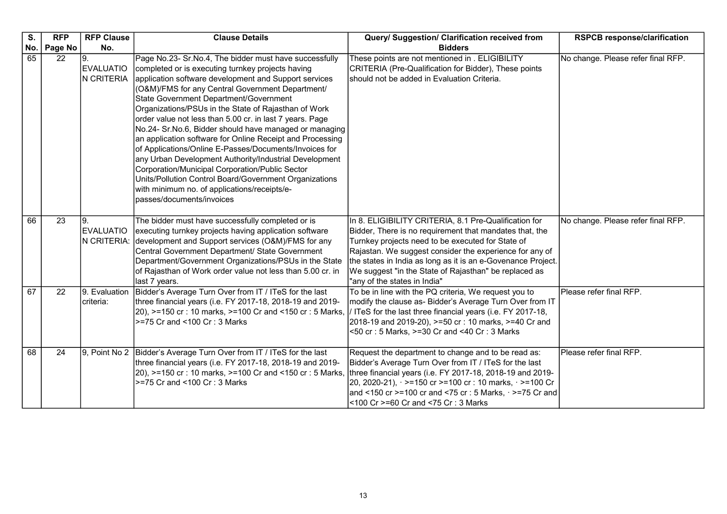| S.       | <b>RFP</b> | <b>RFP Clause</b>                                       | <b>Clause Details</b>                                                                                                                                                                                                                                                                                                                                                                                                                                                                                                                                                                                                                                                                                                                                                                                                       | Query/ Suggestion/ Clarification received from                                                                                                                                                                                                                                                                                                                                            | <b>RSPCB response/clarification</b>                           |
|----------|------------|---------------------------------------------------------|-----------------------------------------------------------------------------------------------------------------------------------------------------------------------------------------------------------------------------------------------------------------------------------------------------------------------------------------------------------------------------------------------------------------------------------------------------------------------------------------------------------------------------------------------------------------------------------------------------------------------------------------------------------------------------------------------------------------------------------------------------------------------------------------------------------------------------|-------------------------------------------------------------------------------------------------------------------------------------------------------------------------------------------------------------------------------------------------------------------------------------------------------------------------------------------------------------------------------------------|---------------------------------------------------------------|
| No.      | Page No    | No.                                                     |                                                                                                                                                                                                                                                                                                                                                                                                                                                                                                                                                                                                                                                                                                                                                                                                                             | <b>Bidders</b>                                                                                                                                                                                                                                                                                                                                                                            |                                                               |
| 65       | 22         | <b>EVALUATIO</b><br>N CRITERIA                          | Page No.23- Sr.No.4, The bidder must have successfully<br>completed or is executing turnkey projects having<br>application software development and Support services<br>(O&M)/FMS for any Central Government Department/<br>State Government Department/Government<br>Organizations/PSUs in the State of Rajasthan of Work<br>order value not less than 5.00 cr. in last 7 years. Page<br>No.24- Sr.No.6, Bidder should have managed or managing<br>an application software for Online Receipt and Processing<br>of Applications/Online E-Passes/Documents/Invoices for<br>any Urban Development Authority/Industrial Development<br>Corporation/Municipal Corporation/Public Sector<br>Units/Pollution Control Board/Government Organizations<br>with minimum no. of applications/receipts/e-<br>passes/documents/invoices | These points are not mentioned in . ELIGIBILITY<br>CRITERIA (Pre-Qualification for Bidder), These points<br>should not be added in Evaluation Criteria.                                                                                                                                                                                                                                   | No change. Please refer final RFP.                            |
| 66<br>67 | 23<br>22   | 19.<br><b>EVALUATIO</b><br>N CRITERIA:<br>9. Evaluation | The bidder must have successfully completed or is<br>executing turnkey projects having application software<br>development and Support services (O&M)/FMS for any<br>Central Government Department/ State Government<br>Department/Government Organizations/PSUs in the State<br>of Rajasthan of Work order value not less than 5.00 cr. in<br>last 7 years.                                                                                                                                                                                                                                                                                                                                                                                                                                                                | In 8. ELIGIBILITY CRITERIA, 8.1 Pre-Qualification for<br>Bidder, There is no requirement that mandates that, the<br>Turnkey projects need to be executed for State of<br>Rajastan. We suggest consider the experience for any of<br>the states in India as long as it is an e-Govenance Project.<br>We suggest "in the State of Rajasthan" be replaced as<br>"any of the states in India" | No change. Please refer final RFP.<br>Please refer final RFP. |
|          |            | criteria:                                               | Bidder's Average Turn Over from IT / ITeS for the last<br>three financial years (i.e. FY 2017-18, 2018-19 and 2019-<br>20), >=150 cr: 10 marks, >=100 Cr and <150 cr: 5 Marks,<br>>=75 Cr and <100 Cr : 3 Marks                                                                                                                                                                                                                                                                                                                                                                                                                                                                                                                                                                                                             | To be in line with the PQ criteria, We request you to<br>modify the clause as- Bidder's Average Turn Over from IT<br>/ ITeS for the last three financial years (i.e. FY 2017-18,<br>2018-19 and 2019-20), >=50 cr: 10 marks, >=40 Cr and<br><50 cr: 5 Marks, >=30 Cr and <40 Cr: 3 Marks                                                                                                  |                                                               |
| 68       | 24         |                                                         | 9, Point No 2   Bidder's Average Turn Over from IT / ITeS for the last<br>three financial years (i.e. FY 2017-18, 2018-19 and 2019-<br>20), >=150 cr: 10 marks, >=100 Cr and <150 cr: 5 Marks,<br>>=75 Cr and <100 Cr : 3 Marks                                                                                                                                                                                                                                                                                                                                                                                                                                                                                                                                                                                             | Request the department to change and to be read as:<br>Bidder's Average Turn Over from IT / ITeS for the last<br>three financial years (i.e. FY 2017-18, 2018-19 and 2019-<br>20, 2020-21), · >=150 cr >=100 cr : 10 marks, · >=100 Cr<br>and <150 cr >=100 cr and <75 cr : 5 Marks, $\cdot$ >=75 Cr and<br><100 Cr >=60 Cr and <75 Cr : 3 Marks                                          | Please refer final RFP.                                       |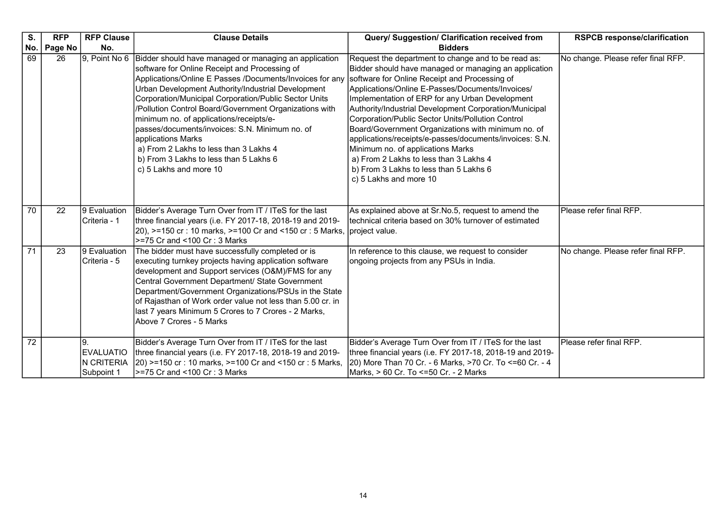| S.              | <b>RFP</b> | <b>RFP Clause</b>                            | <b>Clause Details</b>                                                                                                                                                                                                                                                                                                                                                                                                                                                                                                                                                                      | Query/ Suggestion/ Clarification received from                                                                                                                                                                                                                                                                                                                                                                                                                                                                                                                                                                                                          | <b>RSPCB response/clarification</b> |
|-----------------|------------|----------------------------------------------|--------------------------------------------------------------------------------------------------------------------------------------------------------------------------------------------------------------------------------------------------------------------------------------------------------------------------------------------------------------------------------------------------------------------------------------------------------------------------------------------------------------------------------------------------------------------------------------------|---------------------------------------------------------------------------------------------------------------------------------------------------------------------------------------------------------------------------------------------------------------------------------------------------------------------------------------------------------------------------------------------------------------------------------------------------------------------------------------------------------------------------------------------------------------------------------------------------------------------------------------------------------|-------------------------------------|
| No.             | Page No    | No.                                          |                                                                                                                                                                                                                                                                                                                                                                                                                                                                                                                                                                                            | <b>Bidders</b>                                                                                                                                                                                                                                                                                                                                                                                                                                                                                                                                                                                                                                          |                                     |
| 69              | 26         |                                              | 9, Point No 6 Bidder should have managed or managing an application<br>software for Online Receipt and Processing of<br>Applications/Online E Passes /Documents/Invoices for any<br>Urban Development Authority/Industrial Development<br>Corporation/Municipal Corporation/Public Sector Units<br>/Pollution Control Board/Government Organizations with<br>minimum no. of applications/receipts/e-<br>passes/documents/invoices: S.N. Minimum no. of<br>applications Marks<br>a) From 2 Lakhs to less than 3 Lakhs 4<br>b) From 3 Lakhs to less than 5 Lakhs 6<br>c) 5 Lakhs and more 10 | Request the department to change and to be read as:<br>Bidder should have managed or managing an application<br>software for Online Receipt and Processing of<br>Applications/Online E-Passes/Documents/Invoices/<br>Implementation of ERP for any Urban Development<br>Authority/Industrial Development Corporation/Municipal<br>Corporation/Public Sector Units/Pollution Control<br>Board/Government Organizations with minimum no. of<br>applications/receipts/e-passes/documents/invoices: S.N.<br>Minimum no. of applications Marks<br>a) From 2 Lakhs to less than 3 Lakhs 4<br>b) From 3 Lakhs to less than 5 Lakhs 6<br>c) 5 Lakhs and more 10 | No change. Please refer final RFP.  |
| 70              | 22         | 9 Evaluation<br>Criteria - 1                 | Bidder's Average Turn Over from IT / ITeS for the last<br>three financial years (i.e. FY 2017-18, 2018-19 and 2019-<br>20), >=150 cr : 10 marks, >=100 Cr and <150 cr : 5 Marks, project value.<br>>=75 Cr and <100 Cr : 3 Marks                                                                                                                                                                                                                                                                                                                                                           | As explained above at Sr.No.5, request to amend the<br>technical criteria based on 30% turnover of estimated                                                                                                                                                                                                                                                                                                                                                                                                                                                                                                                                            | Please refer final RFP.             |
| $\overline{71}$ | 23         | 9 Evaluation<br>Criteria - 5                 | The bidder must have successfully completed or is<br>executing turnkey projects having application software<br>development and Support services (O&M)/FMS for any<br>Central Government Department/ State Government<br>Department/Government Organizations/PSUs in the State<br>of Rajasthan of Work order value not less than 5.00 cr. in<br>last 7 years Minimum 5 Crores to 7 Crores - 2 Marks,<br>Above 7 Crores - 5 Marks                                                                                                                                                            | In reference to this clause, we request to consider<br>ongoing projects from any PSUs in India.                                                                                                                                                                                                                                                                                                                                                                                                                                                                                                                                                         | No change. Please refer final RFP.  |
| $\overline{72}$ |            | <b>EVALUATIO</b><br>N CRITERIA<br>Subpoint 1 | Bidder's Average Turn Over from IT / ITeS for the last<br>three financial years (i.e. FY 2017-18, 2018-19 and 2019-<br>20) >=150 cr: 10 marks, >=100 Cr and <150 cr: 5 Marks,<br>==75 Cr and <100 Cr : 3 Marks                                                                                                                                                                                                                                                                                                                                                                             | Bidder's Average Turn Over from IT / ITeS for the last<br>three financial years (i.e. FY 2017-18, 2018-19 and 2019-<br>20) More Than 70 Cr. - 6 Marks, >70 Cr. To <=60 Cr. - 4<br>Marks, > 60 Cr. To <=50 Cr. - 2 Marks                                                                                                                                                                                                                                                                                                                                                                                                                                 | Please refer final RFP.             |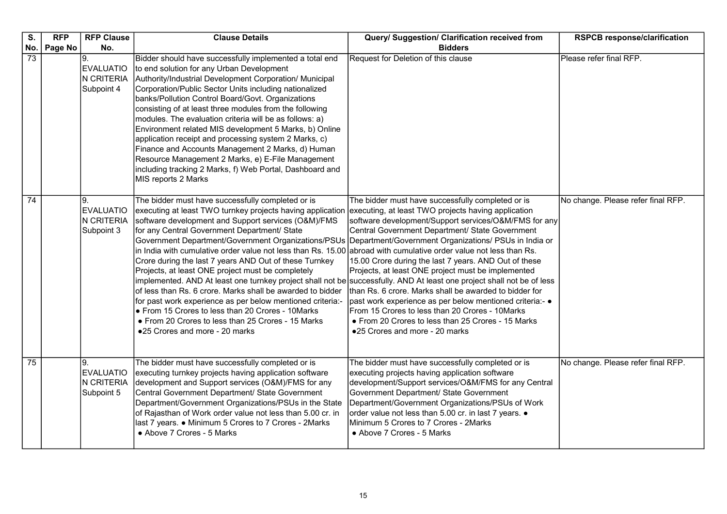| S.                     | <b>RFP</b> | <b>RFP Clause</b><br>No.                            | <b>Clause Details</b>                                                                                                                                                                                                                                                                                                                                                                                                                                                                                                                                                                                                                                                                                                                                                                                                                                                                                                | Query/ Suggestion/ Clarification received from                                                                                                                                                                                                                                                                                                                                                                                                                                                                                                                                                                                                                        | <b>RSPCB response/clarification</b> |
|------------------------|------------|-----------------------------------------------------|----------------------------------------------------------------------------------------------------------------------------------------------------------------------------------------------------------------------------------------------------------------------------------------------------------------------------------------------------------------------------------------------------------------------------------------------------------------------------------------------------------------------------------------------------------------------------------------------------------------------------------------------------------------------------------------------------------------------------------------------------------------------------------------------------------------------------------------------------------------------------------------------------------------------|-----------------------------------------------------------------------------------------------------------------------------------------------------------------------------------------------------------------------------------------------------------------------------------------------------------------------------------------------------------------------------------------------------------------------------------------------------------------------------------------------------------------------------------------------------------------------------------------------------------------------------------------------------------------------|-------------------------------------|
| No.<br>$\overline{73}$ | Page No    | 19.<br><b>EVALUATIO</b><br>N CRITERIA<br>Subpoint 4 | Bidder should have successfully implemented a total end<br>to end solution for any Urban Development<br>Authority/Industrial Development Corporation/ Municipal<br>Corporation/Public Sector Units including nationalized<br>banks/Pollution Control Board/Govt. Organizations<br>consisting of at least three modules from the following<br>modules. The evaluation criteria will be as follows: a)<br>Environment related MIS development 5 Marks, b) Online<br>application receipt and processing system 2 Marks, c)<br>Finance and Accounts Management 2 Marks, d) Human<br>Resource Management 2 Marks, e) E-File Management<br>including tracking 2 Marks, f) Web Portal, Dashboard and<br>MIS reports 2 Marks                                                                                                                                                                                                 | <b>Bidders</b><br>Request for Deletion of this clause                                                                                                                                                                                                                                                                                                                                                                                                                                                                                                                                                                                                                 | Please refer final RFP.             |
| 74                     |            | 9.<br><b>EVALUATIO</b><br>N CRITERIA<br>Subpoint 3  | The bidder must have successfully completed or is<br>executing at least TWO turnkey projects having application<br>software development and Support services (O&M)/FMS<br>for any Central Government Department/ State<br>Government Department/Government Organizations/PSUs<br>in India with cumulative order value not less than Rs. 15.00 abroad with cumulative order value not less than Rs.<br>Crore during the last 7 years AND Out of these Turnkey<br>Projects, at least ONE project must be completely<br>implemented. AND At least one turnkey project shall not be│successfully. AND At least one project shall not be of less<br>of less than Rs. 6 crore. Marks shall be awarded to bidder<br>for past work experience as per below mentioned criteria:-<br>• From 15 Crores to less than 20 Crores - 10Marks<br>• From 20 Crores to less than 25 Crores - 15 Marks<br>●25 Crores and more - 20 marks | The bidder must have successfully completed or is<br>executing, at least TWO projects having application<br>software development/Support services/O&M/FMS for any<br>Central Government Department/ State Government<br>Department/Government Organizations/ PSUs in India or<br>15.00 Crore during the last 7 years. AND Out of these<br>Projects, at least ONE project must be implemented<br>than Rs. 6 crore. Marks shall be awarded to bidder for<br>past work experience as per below mentioned criteria:- $\bullet$<br>From 15 Crores to less than 20 Crores - 10Marks<br>• From 20 Crores to less than 25 Crores - 15 Marks<br>●25 Crores and more - 20 marks | No change. Please refer final RFP.  |
| $\overline{75}$        |            | 9.<br><b>EVALUATIO</b><br>N CRITERIA<br>Subpoint 5  | The bidder must have successfully completed or is<br>executing turnkey projects having application software<br>development and Support services (O&M)/FMS for any<br>Central Government Department/ State Government<br>Department/Government Organizations/PSUs in the State<br>of Rajasthan of Work order value not less than 5.00 cr. in<br>last 7 years. • Minimum 5 Crores to 7 Crores - 2Marks<br>• Above 7 Crores - 5 Marks                                                                                                                                                                                                                                                                                                                                                                                                                                                                                   | The bidder must have successfully completed or is<br>executing projects having application software<br>development/Support services/O&M/FMS for any Central<br>Government Department/ State Government<br>Department/Government Organizations/PSUs of Work<br>order value not less than 5.00 cr. in last 7 years. .<br>Minimum 5 Crores to 7 Crores - 2Marks<br>• Above 7 Crores - 5 Marks                                                                                                                                                                                                                                                                            | No change. Please refer final RFP.  |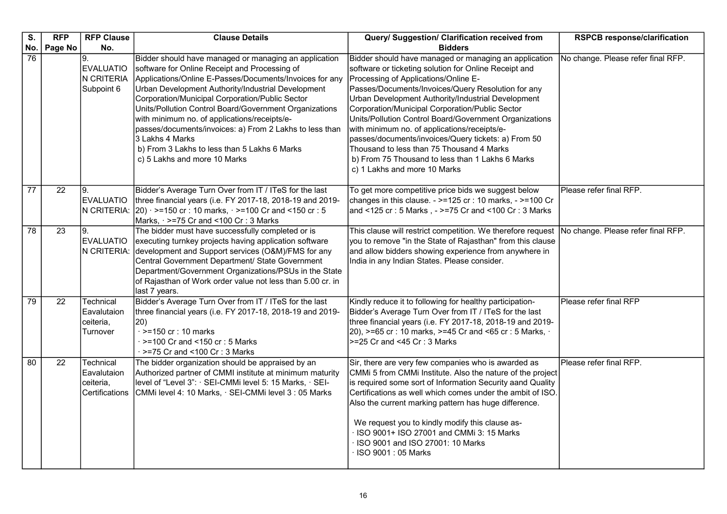| S.              | <b>RFP</b> | <b>RFP Clause</b>                                       | <b>Clause Details</b>                                                                                                                                                                                                                                                                                                                                                                                                                                                                                                                              | Query/ Suggestion/ Clarification received from                                                                                                                                                                                                                                                                                                                                                                                                                                                                                                                                                                          | <b>RSPCB response/clarification</b> |
|-----------------|------------|---------------------------------------------------------|----------------------------------------------------------------------------------------------------------------------------------------------------------------------------------------------------------------------------------------------------------------------------------------------------------------------------------------------------------------------------------------------------------------------------------------------------------------------------------------------------------------------------------------------------|-------------------------------------------------------------------------------------------------------------------------------------------------------------------------------------------------------------------------------------------------------------------------------------------------------------------------------------------------------------------------------------------------------------------------------------------------------------------------------------------------------------------------------------------------------------------------------------------------------------------------|-------------------------------------|
| No.             | Page No    | No.                                                     |                                                                                                                                                                                                                                                                                                                                                                                                                                                                                                                                                    | <b>Bidders</b>                                                                                                                                                                                                                                                                                                                                                                                                                                                                                                                                                                                                          |                                     |
| 76              |            | 9.<br><b>EVALUATIO</b><br>N CRITERIA<br>Subpoint 6      | Bidder should have managed or managing an application<br>software for Online Receipt and Processing of<br>Applications/Online E-Passes/Documents/Invoices for any<br>Urban Development Authority/Industrial Development<br>Corporation/Municipal Corporation/Public Sector<br>Units/Pollution Control Board/Government Organizations<br>with minimum no. of applications/receipts/e-<br>passes/documents/invoices: a) From 2 Lakhs to less than<br>3 Lakhs 4 Marks<br>b) From 3 Lakhs to less than 5 Lakhs 6 Marks<br>c) 5 Lakhs and more 10 Marks | Bidder should have managed or managing an application<br>software or ticketing solution for Online Receipt and<br>Processing of Applications/Online E-<br>Passes/Documents/Invoices/Query Resolution for any<br>Urban Development Authority/Industrial Development<br>Corporation/Municipal Corporation/Public Sector<br>Units/Pollution Control Board/Government Organizations<br>with minimum no. of applications/receipts/e-<br>passes/documents/invoices/Query tickets: a) From 50<br>Thousand to less than 75 Thousand 4 Marks<br>b) From 75 Thousand to less than 1 Lakhs 6 Marks<br>c) 1 Lakhs and more 10 Marks | No change. Please refer final RFP.  |
| 77              | 22         | Ι9.<br><b>EVALUATIO</b>                                 | Bidder's Average Turn Over from IT / ITeS for the last<br>three financial years (i.e. FY 2017-18, 2018-19 and 2019-<br>N CRITERIA: $ 20\rangle \cdot \ge 150$ cr : 10 marks, $\cdot \ge 100$ Cr and <150 cr : 5<br>Marks, $\cdot$ >=75 Cr and <100 Cr : 3 Marks                                                                                                                                                                                                                                                                                    | To get more competitive price bids we suggest below<br>changes in this clause. - >=125 cr : 10 marks, - >=100 Cr<br> and <125 cr : 5 Marks , - >=75 Cr and <100 Cr : 3 Marks                                                                                                                                                                                                                                                                                                                                                                                                                                            | Please refer final RFP.             |
| 78              | 23         | I9.<br><b>EVALUATIO</b><br>N CRITERIA:                  | The bidder must have successfully completed or is<br>executing turnkey projects having application software<br>development and Support services (O&M)/FMS for any<br>Central Government Department/ State Government<br>Department/Government Organizations/PSUs in the State<br>of Rajasthan of Work order value not less than 5.00 cr. in<br>last 7 years.                                                                                                                                                                                       | This clause will restrict competition. We therefore request<br>you to remove "in the State of Rajasthan" from this clause<br>and allow bidders showing experience from anywhere in<br>India in any Indian States. Please consider.                                                                                                                                                                                                                                                                                                                                                                                      | No change. Please refer final RFP.  |
| 79              | 22         | Technical<br>Eavalutaion<br>ceiteria,<br>Turnover       | Bidder's Average Turn Over from IT / ITeS for the last<br>three financial years (i.e. FY 2017-18, 2018-19 and 2019-<br>(20)<br>$\cdot$ >=150 cr : 10 marks<br>$\cdot$ >=100 Cr and <150 cr : 5 Marks<br>$\cdot$ >=75 Cr and <100 Cr : 3 Marks                                                                                                                                                                                                                                                                                                      | Kindly reduce it to following for healthy participation-<br>Bidder's Average Turn Over from IT / ITeS for the last<br>three financial years (i.e. FY 2017-18, 2018-19 and 2019-<br>20), >=65 cr : 10 marks, >=45 Cr and <65 cr : 5 Marks, $\cdot$<br>>=25 Cr and <45 Cr: 3 Marks                                                                                                                                                                                                                                                                                                                                        | Please refer final RFP              |
| $\overline{80}$ | 22         | Technical<br>Eavalutaion<br>ceiteria,<br>Certifications | The bidder organization should be appraised by an<br>Authorized partner of CMMI institute at minimum maturity<br>level of "Level 3": · SEI-CMMi level 5: 15 Marks, · SEI-<br>CMMi level 4: 10 Marks, · SEI-CMMi level 3: 05 Marks                                                                                                                                                                                                                                                                                                                  | Sir, there are very few companies who is awarded as<br>CMMi 5 from CMMi Institute. Also the nature of the project<br>is required some sort of Information Security aand Quality<br>Certifications as well which comes under the ambit of ISO.<br>Also the current marking pattern has huge difference.<br>We request you to kindly modify this clause as-<br>ISO 9001+ ISO 27001 and CMMi 3: 15 Marks<br>ISO 9001 and ISO 27001: 10 Marks<br>ISO 9001: 05 Marks                                                                                                                                                         | Please refer final RFP.             |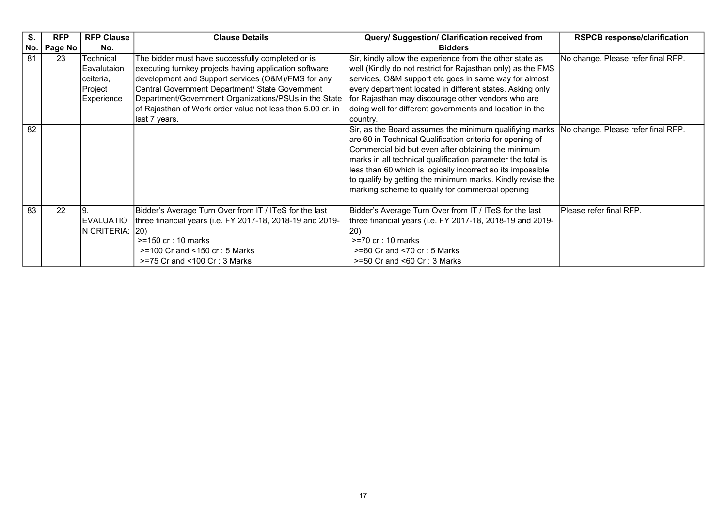| S.              | <b>RFP</b> | <b>RFP Clause</b>                                              | <b>Clause Details</b>                                                                                                                                                                                                                                                                                                                                        | Query/ Suggestion/ Clarification received from                                                                                                                                                                                                                                                                                                                                                                              | <b>RSPCB response/clarification</b> |
|-----------------|------------|----------------------------------------------------------------|--------------------------------------------------------------------------------------------------------------------------------------------------------------------------------------------------------------------------------------------------------------------------------------------------------------------------------------------------------------|-----------------------------------------------------------------------------------------------------------------------------------------------------------------------------------------------------------------------------------------------------------------------------------------------------------------------------------------------------------------------------------------------------------------------------|-------------------------------------|
| No.             | Page No    | No.                                                            |                                                                                                                                                                                                                                                                                                                                                              | <b>Bidders</b>                                                                                                                                                                                                                                                                                                                                                                                                              |                                     |
| 81              | 23         | Technical<br>Eavalutaion<br>ceiteria,<br>Project<br>Experience | The bidder must have successfully completed or is<br>executing turnkey projects having application software<br>development and Support services (O&M)/FMS for any<br>Central Government Department/ State Government<br>Department/Government Organizations/PSUs in the State<br>of Rajasthan of Work order value not less than 5.00 cr. in<br>last 7 years. | Sir, kindly allow the experience from the other state as<br>well (Kindly do not restrict for Rajasthan only) as the FMS<br>services, O&M support etc goes in same way for almost<br>every department located in different states. Asking only<br>for Rajasthan may discourage other vendors who are<br>doing well for different governments and location in the<br>country.                                                 | No change. Please refer final RFP.  |
| $\overline{82}$ |            |                                                                |                                                                                                                                                                                                                                                                                                                                                              | Sir, as the Board assumes the minimum qualifiying marks<br>are 60 in Technical Qualification criteria for opening of<br>Commercial bid but even after obtaining the minimum<br>marks in all technical qualification parameter the total is<br>less than 60 which is logically incorrect so its impossible<br>to qualify by getting the minimum marks. Kindly revise the<br>marking scheme to qualify for commercial opening | No change. Please refer final RFP.  |
| 83              | 22         | <b>EVALUATIO</b><br>IN CRITERIA: (20)                          | Bidder's Average Turn Over from IT / ITeS for the last<br>three financial years (i.e. FY 2017-18, 2018-19 and 2019-<br>$>=150$ cr : 10 marks<br>$>= 100$ Cr and $< 150$ cr : 5 Marks<br>$>=75$ Cr and $<100$ Cr : 3 Marks                                                                                                                                    | Bidder's Average Turn Over from IT / ITeS for the last<br>three financial years (i.e. FY 2017-18, 2018-19 and 2019-<br> 20)<br>$>=70$ cr : 10 marks<br>$>= 60$ Cr and $< 70$ cr : 5 Marks<br>$>=50$ Cr and $<60$ Cr : 3 Marks                                                                                                                                                                                               | Please refer final RFP.             |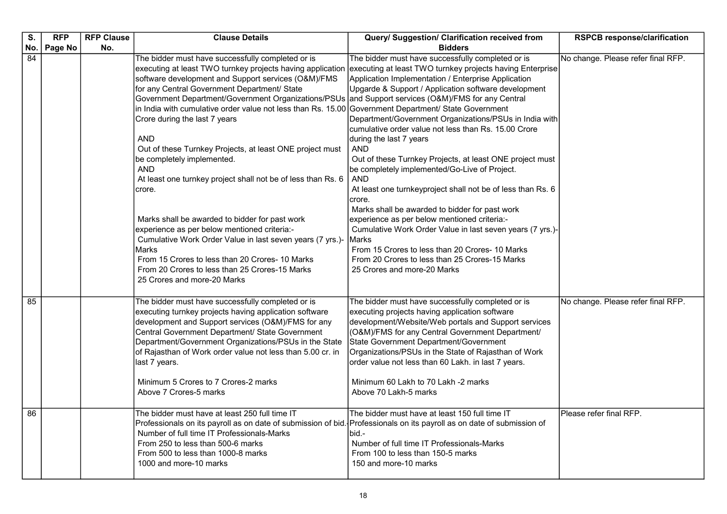| S.  | <b>RFP</b> | <b>RFP Clause</b> | <b>Clause Details</b>                                                                                                                                                                                                                                                                                                                                                                                                                                                                                                                                                                                                                                                                                                                                                                                                                                                                                                                     | Query/ Suggestion/ Clarification received from                                                                                                                                                                                                                                                                                                                                                                                                                                                                                                                                                                                                                                                                                                                                                                                                                                                                                                      | <b>RSPCB response/clarification</b> |
|-----|------------|-------------------|-------------------------------------------------------------------------------------------------------------------------------------------------------------------------------------------------------------------------------------------------------------------------------------------------------------------------------------------------------------------------------------------------------------------------------------------------------------------------------------------------------------------------------------------------------------------------------------------------------------------------------------------------------------------------------------------------------------------------------------------------------------------------------------------------------------------------------------------------------------------------------------------------------------------------------------------|-----------------------------------------------------------------------------------------------------------------------------------------------------------------------------------------------------------------------------------------------------------------------------------------------------------------------------------------------------------------------------------------------------------------------------------------------------------------------------------------------------------------------------------------------------------------------------------------------------------------------------------------------------------------------------------------------------------------------------------------------------------------------------------------------------------------------------------------------------------------------------------------------------------------------------------------------------|-------------------------------------|
| No. | Page No    | No.               |                                                                                                                                                                                                                                                                                                                                                                                                                                                                                                                                                                                                                                                                                                                                                                                                                                                                                                                                           | <b>Bidders</b>                                                                                                                                                                                                                                                                                                                                                                                                                                                                                                                                                                                                                                                                                                                                                                                                                                                                                                                                      |                                     |
| 84  |            |                   | The bidder must have successfully completed or is<br>executing at least TWO turnkey projects having application<br>software development and Support services (O&M)/FMS<br>for any Central Government Department/ State<br>Government Department/Government Organizations/PSUs and Support services (O&M)/FMS for any Central<br>in India with cumulative order value not less than Rs. 15.00<br>Crore during the last 7 years<br><b>AND</b><br>Out of these Turnkey Projects, at least ONE project must<br>be completely implemented.<br>AND<br>At least one turnkey project shall not be of less than Rs. 6<br>crore.<br>Marks shall be awarded to bidder for past work<br>experience as per below mentioned criteria:-<br>Cumulative Work Order Value in last seven years (7 yrs.)-<br><b>Marks</b><br>From 15 Crores to less than 20 Crores- 10 Marks<br>From 20 Crores to less than 25 Crores-15 Marks<br>25 Crores and more-20 Marks | The bidder must have successfully completed or is<br>executing at least TWO turnkey projects having Enterprise<br>Application Implementation / Enterprise Application<br>Upgarde & Support / Application software development<br>Government Department/ State Government<br>Department/Government Organizations/PSUs in India with<br>cumulative order value not less than Rs. 15.00 Crore<br>during the last 7 years<br><b>AND</b><br>Out of these Turnkey Projects, at least ONE project must<br>be completely implemented/Go-Live of Project.<br><b>AND</b><br>At least one turnkeyproject shall not be of less than Rs. 6<br>crore.<br>Marks shall be awarded to bidder for past work<br>experience as per below mentioned criteria:-<br>Cumulative Work Order Value in last seven years (7 yrs.)-<br>IMarks<br>From 15 Crores to less than 20 Crores-10 Marks<br>From 20 Crores to less than 25 Crores-15 Marks<br>25 Crores and more-20 Marks | No change. Please refer final RFP.  |
| 85  |            |                   | The bidder must have successfully completed or is<br>executing turnkey projects having application software<br>development and Support services (O&M)/FMS for any<br>Central Government Department/ State Government<br>Department/Government Organizations/PSUs in the State<br>of Rajasthan of Work order value not less than 5.00 cr. in<br>last 7 years.<br>Minimum 5 Crores to 7 Crores-2 marks<br>Above 7 Crores-5 marks                                                                                                                                                                                                                                                                                                                                                                                                                                                                                                            | The bidder must have successfully completed or is<br>executing projects having application software<br>development/Website/Web portals and Support services<br>(O&M)/FMS for any Central Government Department/<br>State Government Department/Government<br>Organizations/PSUs in the State of Rajasthan of Work<br>order value not less than 60 Lakh. in last 7 years.<br>Minimum 60 Lakh to 70 Lakh -2 marks<br>Above 70 Lakh-5 marks                                                                                                                                                                                                                                                                                                                                                                                                                                                                                                            | No change. Please refer final RFP.  |
| 86  |            |                   | The bidder must have at least 250 full time IT<br>Professionals on its payroll as on date of submission of bid. Professionals on its payroll as on date of submission of<br>Number of full time IT Professionals-Marks<br>From 250 to less than 500-6 marks<br>From 500 to less than 1000-8 marks<br>1000 and more-10 marks                                                                                                                                                                                                                                                                                                                                                                                                                                                                                                                                                                                                               | The bidder must have at least 150 full time IT<br>bid.-<br>Number of full time IT Professionals-Marks<br>From 100 to less than 150-5 marks<br>150 and more-10 marks                                                                                                                                                                                                                                                                                                                                                                                                                                                                                                                                                                                                                                                                                                                                                                                 | Please refer final RFP.             |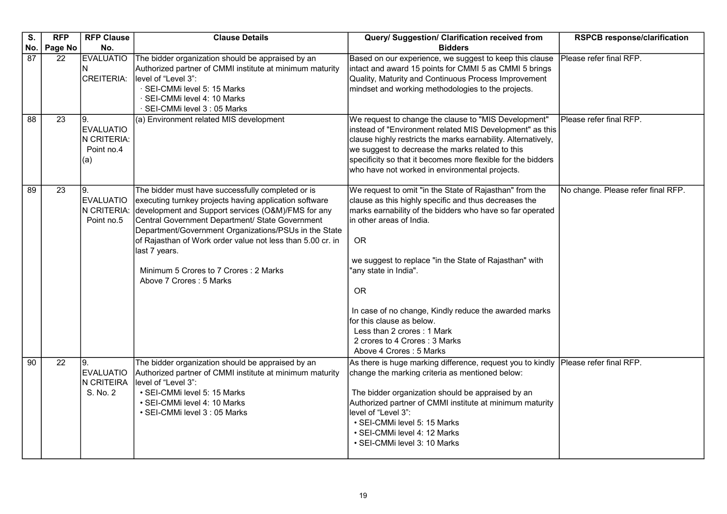| S.              | <b>RFP</b>      | <b>RFP Clause</b>                                           | <b>Clause Details</b>                                                                                                                                                                                                                                                                                                                                                                                                            | Query/ Suggestion/ Clarification received from                                                                                                                                                                                                                                                                                                                                                                                                                                                         | <b>RSPCB response/clarification</b> |
|-----------------|-----------------|-------------------------------------------------------------|----------------------------------------------------------------------------------------------------------------------------------------------------------------------------------------------------------------------------------------------------------------------------------------------------------------------------------------------------------------------------------------------------------------------------------|--------------------------------------------------------------------------------------------------------------------------------------------------------------------------------------------------------------------------------------------------------------------------------------------------------------------------------------------------------------------------------------------------------------------------------------------------------------------------------------------------------|-------------------------------------|
| No.             | Page No         | No.                                                         |                                                                                                                                                                                                                                                                                                                                                                                                                                  | <b>Bidders</b>                                                                                                                                                                                                                                                                                                                                                                                                                                                                                         |                                     |
| 87              | 22              | <b>EVALUATIO</b><br>N<br><b>CREITERIA:</b>                  | The bidder organization should be appraised by an<br>Authorized partner of CMMI institute at minimum maturity<br>level of "Level 3":<br>· SEI-CMMi level 5: 15 Marks<br>· SEI-CMMi level 4: 10 Marks<br>· SEI-CMMi level 3 : 05 Marks                                                                                                                                                                                            | Based on our experience, we suggest to keep this clause<br>intact and award 15 points for CMMI 5 as CMMI 5 brings<br>Quality, Maturity and Continuous Process Improvement<br>mindset and working methodologies to the projects.                                                                                                                                                                                                                                                                        | Please refer final RFP.             |
| $\overline{88}$ | $\overline{23}$ | l9.<br><b>EVALUATIO</b><br>N CRITERIA:<br>Point no.4<br>(a) | (a) Environment related MIS development                                                                                                                                                                                                                                                                                                                                                                                          | We request to change the clause to "MIS Development"<br>instead of "Environment related MIS Development" as this<br>clause highly restricts the marks earnability. Alternatively,<br>we suggest to decrease the marks related to this<br>specificity so that it becomes more flexible for the bidders<br>who have not worked in environmental projects.                                                                                                                                                | Please refer final RFP.             |
| 89              | 23              | Ι9.<br><b>EVALUATIO</b><br>N CRITERIA:<br>Point no.5        | The bidder must have successfully completed or is<br>executing turnkey projects having application software<br>development and Support services (O&M)/FMS for any<br>Central Government Department/ State Government<br>Department/Government Organizations/PSUs in the State<br>of Rajasthan of Work order value not less than 5.00 cr. in<br>last 7 years.<br>Minimum 5 Crores to 7 Crores: 2 Marks<br>Above 7 Crores: 5 Marks | We request to omit "in the State of Rajasthan" from the<br>clause as this highly specific and thus decreases the<br>marks earnability of the bidders who have so far operated<br>in other areas of India.<br><b>OR</b><br>we suggest to replace "in the State of Rajasthan" with<br>'any state in India".<br><b>OR</b><br>In case of no change, Kindly reduce the awarded marks<br>for this clause as below.<br>Less than 2 crores: 1 Mark<br>2 crores to 4 Crores: 3 Marks<br>Above 4 Crores: 5 Marks | No change. Please refer final RFP.  |
| $\overline{90}$ | 22              | 19.<br>EVALUATIO<br>N CRITEIRA<br>S. No. 2                  | The bidder organization should be appraised by an<br>Authorized partner of CMMI institute at minimum maturity<br>level of "Level 3":<br>• SEI-CMMi level 5: 15 Marks<br>· SEI-CMMi level 4: 10 Marks<br>• SEI-CMMi level 3 : 05 Marks                                                                                                                                                                                            | As there is huge marking difference, request you to kindly<br>change the marking criteria as mentioned below:<br>The bidder organization should be appraised by an<br>Authorized partner of CMMI institute at minimum maturity<br>level of "Level 3":<br>· SEI-CMMi level 5: 15 Marks<br>· SEI-CMMi level 4: 12 Marks<br>• SEI-CMMi level 3: 10 Marks                                                                                                                                                  | Please refer final RFP.             |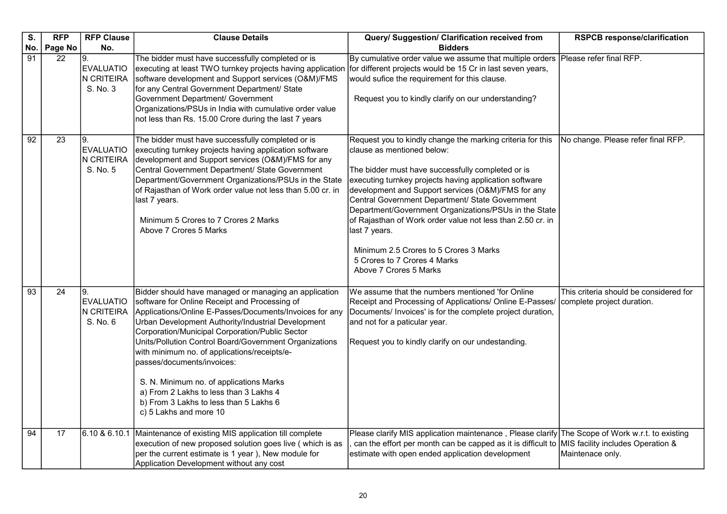| S.              | <b>RFP</b>    | <b>RFP Clause</b>                                       | <b>Clause Details</b>                                                                                                                                                                                                                                                                                                                                                                                                                                                                                                                                                       | Query/ Suggestion/ Clarification received from                                                                                                                                                                                                                                                                                                                                                                                                                                                                                                               | <b>RSPCB response/clarification</b>                                  |
|-----------------|---------------|---------------------------------------------------------|-----------------------------------------------------------------------------------------------------------------------------------------------------------------------------------------------------------------------------------------------------------------------------------------------------------------------------------------------------------------------------------------------------------------------------------------------------------------------------------------------------------------------------------------------------------------------------|--------------------------------------------------------------------------------------------------------------------------------------------------------------------------------------------------------------------------------------------------------------------------------------------------------------------------------------------------------------------------------------------------------------------------------------------------------------------------------------------------------------------------------------------------------------|----------------------------------------------------------------------|
| No.<br>91       | Page No<br>22 | No.<br>9.<br><b>EVALUATIO</b><br>N CRITEIRA<br>S. No. 3 | The bidder must have successfully completed or is<br>executing at least TWO turnkey projects having application<br>software development and Support services (O&M)/FMS<br>for any Central Government Department/ State<br>Government Department/ Government<br>Organizations/PSUs in India with cumulative order value<br>not less than Rs. 15.00 Crore during the last 7 years                                                                                                                                                                                             | <b>Bidders</b><br>By cumulative order value we assume that multiple orders<br>for different projects would be 15 Cr in last seven years,<br>would sufice the requirement for this clause.<br>Request you to kindly clarify on our understanding?                                                                                                                                                                                                                                                                                                             | Please refer final RFP.                                              |
| 92              | 23            | 19.<br><b>EVALUATIO</b><br>N CRITEIRA<br>S. No. 5       | The bidder must have successfully completed or is<br>executing turnkey projects having application software<br>development and Support services (O&M)/FMS for any<br>Central Government Department/ State Government<br>Department/Government Organizations/PSUs in the State<br>of Rajasthan of Work order value not less than 5.00 cr. in<br>last 7 years.<br>Minimum 5 Crores to 7 Crores 2 Marks<br>Above 7 Crores 5 Marks                                                                                                                                              | Request you to kindly change the marking criteria for this<br>clause as mentioned below:<br>The bidder must have successfully completed or is<br>executing turnkey projects having application software<br>development and Support services (O&M)/FMS for any<br>Central Government Department/ State Government<br>Department/Government Organizations/PSUs in the State<br>of Rajasthan of Work order value not less than 2.50 cr. in<br>last 7 years.<br>Minimum 2.5 Crores to 5 Crores 3 Marks<br>5 Crores to 7 Crores 4 Marks<br>Above 7 Crores 5 Marks | No change. Please refer final RFP.                                   |
| $\overline{93}$ | 24            | 19.<br>EVALUATIO<br>N CRITEIRA<br>S. No. 6              | Bidder should have managed or managing an application<br>software for Online Receipt and Processing of<br>Applications/Online E-Passes/Documents/Invoices for any<br>Urban Development Authority/Industrial Development<br>Corporation/Municipal Corporation/Public Sector<br>Units/Pollution Control Board/Government Organizations<br>with minimum no. of applications/receipts/e-<br>passes/documents/invoices:<br>S. N. Minimum no. of applications Marks<br>a) From 2 Lakhs to less than 3 Lakhs 4<br>b) From 3 Lakhs to less than 5 Lakhs 6<br>c) 5 Lakhs and more 10 | We assume that the numbers mentioned 'for Online<br>Receipt and Processing of Applications/ Online E-Passes/<br>Documents/ Invoices' is for the complete project duration,<br>and not for a paticular year.<br>Request you to kindly clarify on our undestanding.                                                                                                                                                                                                                                                                                            | This criteria should be considered for<br>complete project duration. |
| 94              | 17            | 6.10 & 6.10.1                                           | Maintenance of existing MIS application till complete<br>execution of new proposed solution goes live (which is as<br>per the current estimate is 1 year), New module for<br>Application Development without any cost                                                                                                                                                                                                                                                                                                                                                       | Please clarify MIS application maintenance, Please clarify The Scope of Work w.r.t. to existing<br>can the effort per month can be capped as it is difficult to<br>estimate with open ended application development                                                                                                                                                                                                                                                                                                                                          | MIS facility includes Operation &<br>Maintenace only.                |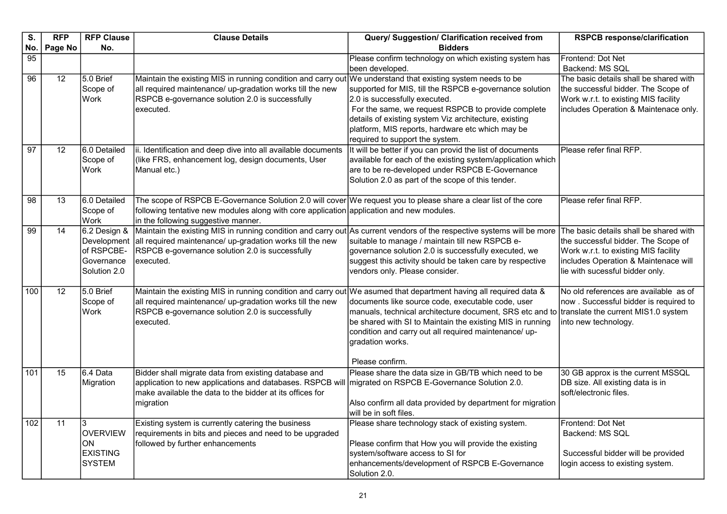| S.              | <b>RFP</b>      | <b>RFP Clause</b>                                                       | <b>Clause Details</b>                                                                                                                                                                                                                               | Query/ Suggestion/ Clarification received from                                                                                                                                                                                                                                                                 | <b>RSPCB response/clarification</b>                                                                                                                                                              |
|-----------------|-----------------|-------------------------------------------------------------------------|-----------------------------------------------------------------------------------------------------------------------------------------------------------------------------------------------------------------------------------------------------|----------------------------------------------------------------------------------------------------------------------------------------------------------------------------------------------------------------------------------------------------------------------------------------------------------------|--------------------------------------------------------------------------------------------------------------------------------------------------------------------------------------------------|
| No.             | Page No         | No.                                                                     |                                                                                                                                                                                                                                                     | <b>Bidders</b>                                                                                                                                                                                                                                                                                                 |                                                                                                                                                                                                  |
| $\overline{95}$ |                 |                                                                         |                                                                                                                                                                                                                                                     | Please confirm technology on which existing system has<br>been developed.                                                                                                                                                                                                                                      | Frontend: Dot Net<br>Backend: MS SQL                                                                                                                                                             |
| $\overline{96}$ | $\overline{12}$ | 5.0 Brief<br>Scope of<br>Work                                           | Maintain the existing MIS in running condition and carry out We understand that existing system needs to be<br>all required maintenance/ up-gradation works till the new<br>RSPCB e-governance solution 2.0 is successfully<br>executed.            | supported for MIS, till the RSPCB e-governance solution<br>2.0 is successfully executed.<br>For the same, we request RSPCB to provide complete<br>details of existing system Viz architecture, existing<br>platform, MIS reports, hardware etc which may be<br>required to support the system.                 | The basic details shall be shared with<br>the successful bidder. The Scope of<br>Work w.r.t. to existing MIS facility<br>includes Operation & Maintenace only.                                   |
| 97              | 12              | 6.0 Detailed<br>Scope of<br>Work                                        | ii. Identification and deep dive into all available documents<br>(like FRS, enhancement log, design documents, User<br>Manual etc.)                                                                                                                 | It will be better if you can provid the list of documents<br>available for each of the existing system/application which<br>are to be re-developed under RSPCB E-Governance<br>Solution 2.0 as part of the scope of this tender.                                                                               | Please refer final RFP.                                                                                                                                                                          |
| $\overline{98}$ | 13              | 6.0 Detailed<br>Scope of<br>Work                                        | The scope of RSPCB E-Governance Solution 2.0 will cover We request you to please share a clear list of the core<br>following tentative new modules along with core application application and new modules.<br>in the following suggestive manner.  |                                                                                                                                                                                                                                                                                                                | Please refer final RFP.                                                                                                                                                                          |
| $\overline{99}$ | 14              | 6.2 Design &<br>Development<br>of RSPCBE-<br>Governance<br>Solution 2.0 | Maintain the existing MIS in running condition and carry out As current vendors of the respective systems will be more<br>all required maintenance/ up-gradation works till the new<br>RSPCB e-governance solution 2.0 is successfully<br>executed. | suitable to manage / maintain till new RSPCB e-<br>governance solution 2.0 is successfully executed, we<br>suggest this activity should be taken care by respective<br>vendors only. Please consider.                                                                                                          | The basic details shall be shared with<br>the successful bidder. The Scope of<br>Work w.r.t. to existing MIS facility<br>includes Operation & Maintenace will<br>lie with sucessful bidder only. |
| 100             | $\overline{12}$ | 5.0 Brief<br>Scope of<br>Work                                           | Maintain the existing MIS in running condition and carry out We asumed that department having all required data &<br>all required maintenance/ up-gradation works till the new<br>RSPCB e-governance solution 2.0 is successfully<br>executed.      | documents like source code, executable code, user<br>manuals, technical architecture document, SRS etc and to translate the current MIS1.0 system<br>be shared with SI to Maintain the existing MIS in running<br>condition and carry out all required maintenance/ up-<br>gradation works.<br>Please confirm. | No old references are available as of<br>now. Successful bidder is required to<br>into new technology.                                                                                           |
| 101             | 15              | 6.4 Data<br>Migration                                                   | Bidder shall migrate data from existing database and<br>application to new applications and databases. RSPCB will   migrated on RSPCB E-Governance Solution 2.0.<br>make available the data to the bidder at its offices for<br>migration           | Please share the data size in GB/TB which need to be<br>Also confirm all data provided by department for migration<br>will be in soft files.                                                                                                                                                                   | 30 GB approx is the current MSSQL<br>DB size. All existing data is in<br>soft/electronic files.                                                                                                  |
| 102             | $\overline{11}$ | 3<br><b>OVERVIEW</b><br>ON<br><b>EXISTING</b><br><b>SYSTEM</b>          | Existing system is currently catering the business<br>requirements in bits and pieces and need to be upgraded<br>followed by further enhancements                                                                                                   | Please share technology stack of existing system.<br>Please confirm that How you will provide the existing<br>system/software access to SI for<br>enhancements/development of RSPCB E-Governance<br>Solution 2.0.                                                                                              | Frontend: Dot Net<br>Backend: MS SQL<br>Successful bidder will be provided<br>login access to existing system.                                                                                   |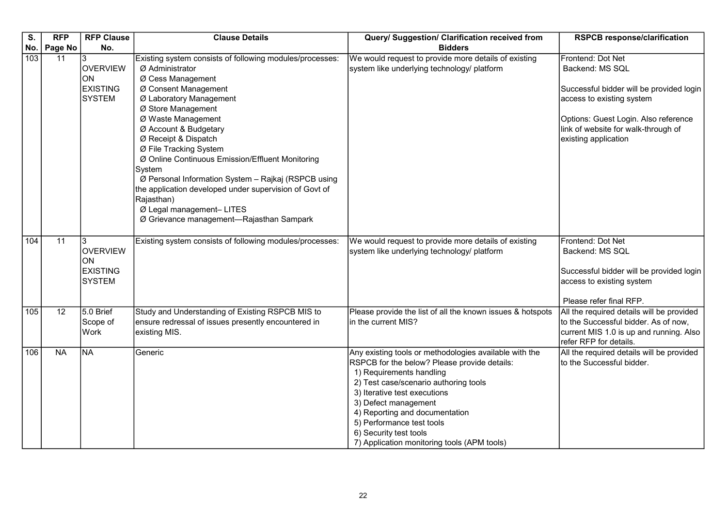| S.  | <b>RFP</b> | <b>RFP Clause</b>                                              | <b>Clause Details</b>                                                                                                                                                                                                                                                                                                                                                                                                                                                                                                                            | Query/ Suggestion/ Clarification received from                                                                                                                                                                                                                                                                                                                              | <b>RSPCB response/clarification</b>                                                                                                                                                                                  |
|-----|------------|----------------------------------------------------------------|--------------------------------------------------------------------------------------------------------------------------------------------------------------------------------------------------------------------------------------------------------------------------------------------------------------------------------------------------------------------------------------------------------------------------------------------------------------------------------------------------------------------------------------------------|-----------------------------------------------------------------------------------------------------------------------------------------------------------------------------------------------------------------------------------------------------------------------------------------------------------------------------------------------------------------------------|----------------------------------------------------------------------------------------------------------------------------------------------------------------------------------------------------------------------|
| No. | Page No    | No.                                                            |                                                                                                                                                                                                                                                                                                                                                                                                                                                                                                                                                  | <b>Bidders</b>                                                                                                                                                                                                                                                                                                                                                              |                                                                                                                                                                                                                      |
| 103 | 11         | 3<br><b>OVERVIEW</b><br>ON<br><b>EXISTING</b><br><b>SYSTEM</b> | Existing system consists of following modules/processes:<br>Ø Administrator<br>Ø Cess Management<br>Ø Consent Management<br>Ø Laboratory Management<br>Ø Store Management<br>Ø Waste Management<br>Ø Account & Budgetary<br>Ø Receipt & Dispatch<br>Ø File Tracking System<br>Ø Online Continuous Emission/Effluent Monitoring<br>System<br>Ø Personal Information System - Rajkaj (RSPCB using<br>the application developed under supervision of Govt of<br>Rajasthan)<br>Ø Legal management- LITES<br>Ø Grievance management-Rajasthan Sampark | We would request to provide more details of existing<br>system like underlying technology/ platform                                                                                                                                                                                                                                                                         | Frontend: Dot Net<br>Backend: MS SQL<br>Successful bidder will be provided login<br>access to existing system<br>Options: Guest Login. Also reference<br>link of website for walk-through of<br>existing application |
| 104 | 11         | 3<br><b>OVERVIEW</b><br>ON<br><b>EXISTING</b><br><b>SYSTEM</b> | Existing system consists of following modules/processes:                                                                                                                                                                                                                                                                                                                                                                                                                                                                                         | We would request to provide more details of existing<br>system like underlying technology/ platform                                                                                                                                                                                                                                                                         | Frontend: Dot Net<br>Backend: MS SQL<br>Successful bidder will be provided login<br>access to existing system<br>Please refer final RFP.                                                                             |
| 105 | 12         | 5.0 Brief<br>Scope of<br>Work                                  | Study and Understanding of Existing RSPCB MIS to<br>ensure redressal of issues presently encountered in<br>existing MIS.                                                                                                                                                                                                                                                                                                                                                                                                                         | Please provide the list of all the known issues & hotspots<br>in the current MIS?                                                                                                                                                                                                                                                                                           | All the required details will be provided<br>to the Successful bidder. As of now,<br>current MIS 1.0 is up and running. Also<br>refer RFP for details.                                                               |
| 106 | <b>NA</b>  | NA                                                             | Generic                                                                                                                                                                                                                                                                                                                                                                                                                                                                                                                                          | Any existing tools or methodologies available with the<br>RSPCB for the below? Please provide details:<br>1) Requirements handling<br>2) Test case/scenario authoring tools<br>3) Iterative test executions<br>3) Defect management<br>4) Reporting and documentation<br>5) Performance test tools<br>6) Security test tools<br>7) Application monitoring tools (APM tools) | All the required details will be provided<br>to the Successful bidder.                                                                                                                                               |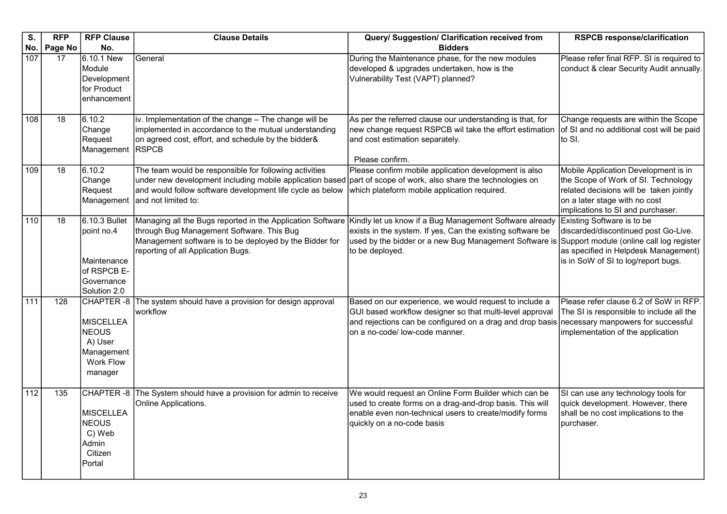| $\overline{\mathsf{s}}$ . | <b>RFP</b>       | <b>RFP Clause</b>                                                                       | <b>Clause Details</b>                                                                                                                                                                                                                                            | Query/ Suggestion/ Clarification received from                                                                                                                                                                                                       | <b>RSPCB response/clarification</b>                                                                                                                                                           |
|---------------------------|------------------|-----------------------------------------------------------------------------------------|------------------------------------------------------------------------------------------------------------------------------------------------------------------------------------------------------------------------------------------------------------------|------------------------------------------------------------------------------------------------------------------------------------------------------------------------------------------------------------------------------------------------------|-----------------------------------------------------------------------------------------------------------------------------------------------------------------------------------------------|
| No.                       | <b>Page No</b>   | No.                                                                                     |                                                                                                                                                                                                                                                                  | <b>Bidders</b>                                                                                                                                                                                                                                       |                                                                                                                                                                                               |
| 107                       | 17               | 6.10.1 New<br>Module<br>Development<br>for Product<br>enhancement                       | General                                                                                                                                                                                                                                                          | During the Maintenance phase, for the new modules<br>developed & upgrades undertaken, how is the<br>Vulnerability Test (VAPT) planned?                                                                                                               | Please refer final RFP. SI is required to<br>conduct & clear Security Audit annually.                                                                                                         |
| 108                       | $\overline{18}$  | 6.10.2<br>Change<br>Request<br>Management                                               | iv. Implementation of the change - The change will be<br>implemented in accordance to the mutual understanding<br>on agreed cost, effort, and schedule by the bidder&<br><b>RSPCB</b>                                                                            | As per the referred clause our understanding is that, for<br>new change request RSPCB wil take the effort estimation<br>and cost estimation separately.<br>Please confirm.                                                                           | Change requests are within the Scope<br>of SI and no additional cost will be paid<br>to SI.                                                                                                   |
| 109                       | 18               | 6.10.2<br>Change<br>Request<br>Management                                               | The team would be responsible for following activities<br>under new development including mobile application based<br>and would follow software development life cycle as below<br>and not limited to:                                                           | Please confirm mobile application development is also<br>part of scope of work, also share the technologies on<br>which plateform mobile application required.                                                                                       | Mobile Application Development is in<br>the Scope of Work of SI. Technology<br>related decisions will be taken jointly<br>on a later stage with no cost<br>implications to SI and purchaser.  |
| 110                       | 18               | 6.10.3 Bullet<br>point no.4<br>Maintenance<br>of RSPCB E-<br>Governance<br>Solution 2.0 | Managing all the Bugs reported in the Application Software Kindly let us know if a Bug Management Software already<br>through Bug Management Software. This Bug<br>Management software is to be deployed by the Bidder for<br>reporting of all Application Bugs. | exists in the system. If yes, Can the existing software be<br>used by the bidder or a new Bug Management Software is<br>to be deployed.                                                                                                              | Existing Software is to be<br>discarded/discontinued post Go-Live.<br>Support module (online call log register<br>as specified in Helpdesk Management)<br>is in SoW of SI to log/report bugs. |
| 111                       | 128              | CHAPTER -8<br>MISCELLEA<br>NEOUS<br>A) User<br>Management<br>Work Flow<br>manager       | The system should have a provision for design approval<br>workflow                                                                                                                                                                                               | Based on our experience, we would request to include a<br>GUI based workflow designer so that multi-level approval<br>and rejections can be configured on a drag and drop basis necessary manpowers for successful<br>on a no-code/ low-code manner. | Please refer clause 6.2 of SoW in RFP.<br>The SI is responsible to include all the<br>implementation of the application                                                                       |
| $\overline{112}$          | $\overline{135}$ | CHAPTER-8<br>MISCELLEA<br>NEOUS<br>C) Web<br>Admin<br>Citizen<br>Portal                 | The System should have a provision for admin to receive<br>Online Applications.                                                                                                                                                                                  | We would request an Online Form Builder which can be<br>used to create forms on a drag-and-drop basis. This will<br>enable even non-technical users to create/modify forms<br>quickly on a no-code basis                                             | SI can use any technology tools for<br>quick development. However, there<br>shall be no cost implications to the<br>purchaser.                                                                |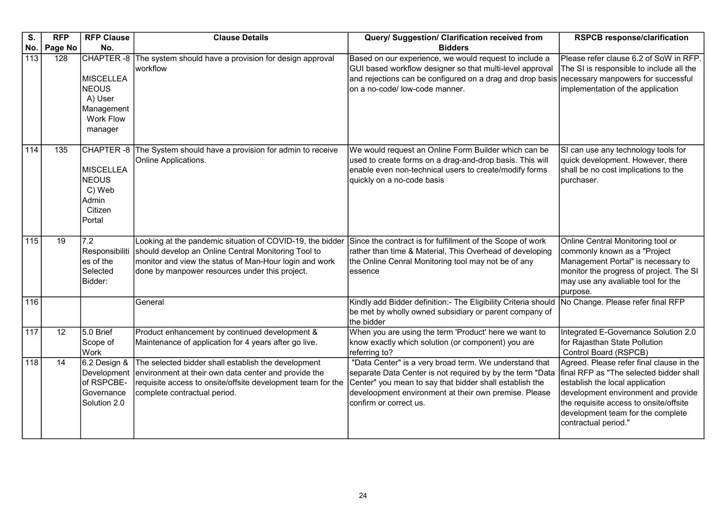| S.               | <b>RFP</b>      | <b>RFP Clause</b>                                                                 | <b>Clause Details</b>                                                                                                                                                                                                        | Query/ Suggestion/ Clarification received from                                                                                                                                                                                                                    | <b>RSPCB response/clarification</b>                                                                                                                                                                                                                                  |
|------------------|-----------------|-----------------------------------------------------------------------------------|------------------------------------------------------------------------------------------------------------------------------------------------------------------------------------------------------------------------------|-------------------------------------------------------------------------------------------------------------------------------------------------------------------------------------------------------------------------------------------------------------------|----------------------------------------------------------------------------------------------------------------------------------------------------------------------------------------------------------------------------------------------------------------------|
| No.              | Page No         | No.                                                                               |                                                                                                                                                                                                                              | <b>Bidders</b>                                                                                                                                                                                                                                                    |                                                                                                                                                                                                                                                                      |
| $\overline{113}$ | 128             | MISCELLEA<br><b>NEOUS</b><br>A) User<br>Management<br><b>Work Flow</b><br>manager | CHAPTER -8 The system should have a provision for design approval<br>workflow                                                                                                                                                | Based on our experience, we would request to include a<br>GUI based workflow designer so that multi-level approval<br>and rejections can be configured on a drag and drop basis necessary manpowers for successful<br>on a no-code/ low-code manner.              | Please refer clause 6.2 of SoW in RFP.<br>The SI is responsible to include all the<br>implementation of the application                                                                                                                                              |
| 114              | 135             | <b>MISCELLEA</b><br><b>NEOUS</b><br>C) Web<br><b>Admin</b><br>Citizen<br>Portal   | CHAPTER -8 The System should have a provision for admin to receive<br>Online Applications.                                                                                                                                   | We would request an Online Form Builder which can be<br>used to create forms on a drag-and-drop basis. This will<br>enable even non-technical users to create/modify forms<br>quickly on a no-code basis                                                          | SI can use any technology tools for<br>quick development. However, there<br>shall be no cost implications to the<br>purchaser.                                                                                                                                       |
| 115              | 19              | $\overline{7.2}$<br>Responsibiliti<br>es of the<br>Selected<br>Bidder:            | Looking at the pandemic situation of COVID-19, the bidder<br>should develop an Online Central Monitoring Tool to<br>monitor and view the status of Man-Hour login and work<br>done by manpower resources under this project. | Since the contract is for fulfillment of the Scope of work<br>rather than time & Material, This Overhead of developing<br>the Online Cenral Monitoring tool may not be of any<br>essence                                                                          | Online Central Monitoring tool or<br>commonly known as a "Project<br>Management Portal" is necessary to<br>monitor the progress of project. The SI<br>may use any avaliable tool for the<br>purpose.                                                                 |
| 116              |                 |                                                                                   | General                                                                                                                                                                                                                      | Kindly add Bidder definition:- The Eligibility Criteria should<br>be met by wholly owned subsidiary or parent company of<br>the bidder                                                                                                                            | No Change. Please refer final RFP                                                                                                                                                                                                                                    |
| 117              | $\overline{12}$ | 5.0 Brief<br>Scope of<br>Work                                                     | Product enhancement by continued development &<br>Maintenance of application for 4 years after go live.                                                                                                                      | When you are using the term 'Product' here we want to<br>know exactly which solution (or component) you are<br>referring to?                                                                                                                                      | Integrated E-Governance Solution 2.0<br>for Rajasthan State Pollution<br>Control Board (RSPCB)                                                                                                                                                                       |
| 118              | 14              | 6.2 Design &<br>Development<br>of RSPCBE-<br>Governance<br>Solution 2.0           | The selected bidder shall establish the development<br>environment at their own data center and provide the<br>requisite access to onsite/offsite development team for the<br>complete contractual period.                   | "Data Center" is a very broad term. We understand that<br>separate Data Center is not required by by the term "Data<br>Center" you mean to say that bidder shall establish the<br>develoopment environment at their own premise. Please<br>confirm or correct us. | Agreed. Please refer final clause in the<br>final RFP as "The selected bidder shall<br>establish the local application<br>development environment and provide<br>the requisite access to onsite/offsite<br>development team for the complete<br>contractual period." |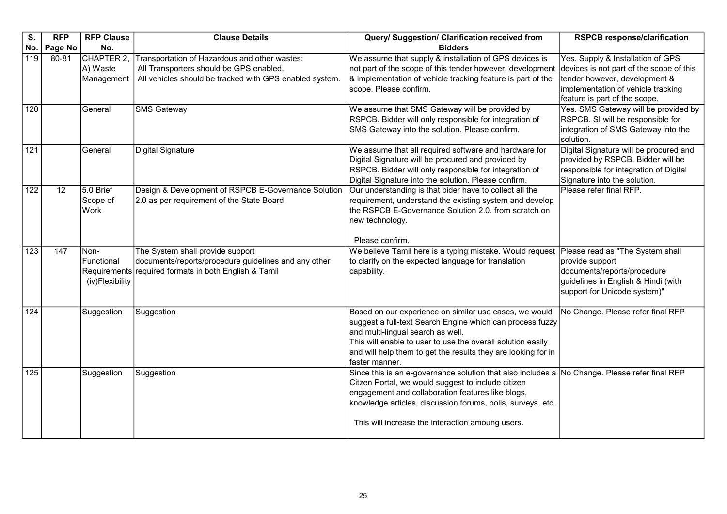| S.               | <b>RFP</b> | <b>RFP Clause</b>                     | <b>Clause Details</b>                                                                                                                               | Query/ Suggestion/ Clarification received from                                                                                                                                                                                                                                                                              | <b>RSPCB response/clarification</b>                                                                                                                                                   |
|------------------|------------|---------------------------------------|-----------------------------------------------------------------------------------------------------------------------------------------------------|-----------------------------------------------------------------------------------------------------------------------------------------------------------------------------------------------------------------------------------------------------------------------------------------------------------------------------|---------------------------------------------------------------------------------------------------------------------------------------------------------------------------------------|
| No.              | Page No    | No.                                   |                                                                                                                                                     | <b>Bidders</b>                                                                                                                                                                                                                                                                                                              |                                                                                                                                                                                       |
| $\overline{119}$ | 80-81      | CHAPTER 2.<br>A) Waste<br>Management  | Transportation of Hazardous and other wastes:<br>All Transporters should be GPS enabled.<br>All vehicles should be tracked with GPS enabled system. | We assume that supply & installation of GPS devices is<br>not part of the scope of this tender however, development<br>& implementation of vehicle tracking feature is part of the<br>scope. Please confirm.                                                                                                                | Yes. Supply & Installation of GPS<br>devices is not part of the scope of this<br>tender however, development &<br>implementation of vehicle tracking<br>feature is part of the scope. |
| 120              |            | General                               | <b>SMS Gateway</b>                                                                                                                                  | We assume that SMS Gateway will be provided by<br>RSPCB. Bidder will only responsible for integration of<br>SMS Gateway into the solution. Please confirm.                                                                                                                                                                  | Yes. SMS Gateway will be provided by<br>RSPCB. SI will be responsible for<br>integration of SMS Gateway into the<br>solution.                                                         |
| 121              |            | General                               | <b>Digital Signature</b>                                                                                                                            | We assume that all required software and hardware for<br>Digital Signature will be procured and provided by<br>RSPCB. Bidder will only responsible for integration of<br>Digital Signature into the solution. Please confirm.                                                                                               | Digital Signature will be procured and<br>provided by RSPCB. Bidder will be<br>responsible for integration of Digital<br>Signature into the solution.                                 |
| 122              | 12         | 5.0 Brief<br>Scope of<br>Work         | Design & Development of RSPCB E-Governance Solution<br>2.0 as per requirement of the State Board                                                    | Our understanding is that bider have to collect all the<br>requirement, understand the existing system and develop<br>the RSPCB E-Governance Solution 2.0. from scratch on<br>new technology.<br>Please confirm.                                                                                                            | Please refer final RFP.                                                                                                                                                               |
| 123              | 147        | Non-<br>Functional<br>(iv)Flexibility | The System shall provide support<br>documents/reports/procedure guidelines and any other<br>Requirements required formats in both English & Tamil   | We believe Tamil here is a typing mistake. Would request<br>to clarify on the expected language for translation<br>capability.                                                                                                                                                                                              | Please read as "The System shall<br>provide support<br>documents/reports/procedure<br>guidelines in English & Hindi (with<br>support for Unicode system)"                             |
| 124              |            | Suggestion                            | Suggestion                                                                                                                                          | Based on our experience on similar use cases, we would<br>suggest a full-text Search Engine which can process fuzzy<br>and multi-lingual search as well.<br>This will enable to user to use the overall solution easily<br>and will help them to get the results they are looking for in<br>faster manner.                  | No Change. Please refer final RFP                                                                                                                                                     |
| 125              |            | Suggestion                            | Suggestion                                                                                                                                          | Since this is an e-governance solution that also includes a No Change. Please refer final RFP<br>Citzen Portal, we would suggest to include citizen<br>engagement and collaboration features like blogs,<br>knowledge articles, discussion forums, polls, surveys, etc.<br>This will increase the interaction amoung users. |                                                                                                                                                                                       |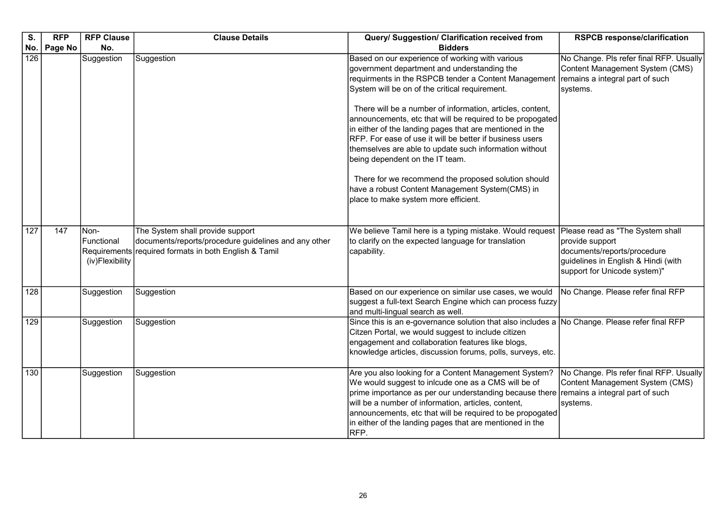| S.  | <b>RFP</b> | <b>RFP Clause</b>                     | <b>Clause Details</b>                                                                                                                             | Query/ Suggestion/ Clarification received from                                                                                                                                                                                                                                                                                                                                                                                                                                                                                                                                                                                                                                                            | <b>RSPCB response/clarification</b>                                                                                       |
|-----|------------|---------------------------------------|---------------------------------------------------------------------------------------------------------------------------------------------------|-----------------------------------------------------------------------------------------------------------------------------------------------------------------------------------------------------------------------------------------------------------------------------------------------------------------------------------------------------------------------------------------------------------------------------------------------------------------------------------------------------------------------------------------------------------------------------------------------------------------------------------------------------------------------------------------------------------|---------------------------------------------------------------------------------------------------------------------------|
| No. | Page No    | No.                                   |                                                                                                                                                   | <b>Bidders</b>                                                                                                                                                                                                                                                                                                                                                                                                                                                                                                                                                                                                                                                                                            |                                                                                                                           |
| 126 |            | Suggestion                            | Suggestion                                                                                                                                        | Based on our experience of working with various<br>government department and understanding the<br>requirments in the RSPCB tender a Content Management<br>System will be on of the critical requirement.<br>There will be a number of information, articles, content,<br>announcements, etc that will be required to be propogated<br>in either of the landing pages that are mentioned in the<br>RFP. For ease of use it will be better if business users<br>themselves are able to update such information without<br>being dependent on the IT team.<br>There for we recommend the proposed solution should<br>have a robust Content Management System(CMS) in<br>place to make system more efficient. | No Change. Pls refer final RFP. Usually<br>Content Management System (CMS)<br>remains a integral part of such<br>systems. |
| 127 | 147        | Non-<br>Functional<br>(iv)Flexibility | The System shall provide support<br>documents/reports/procedure guidelines and any other<br>Requirements required formats in both English & Tamil | We believe Tamil here is a typing mistake. Would request Please read as "The System shall<br>to clarify on the expected language for translation<br>capability.                                                                                                                                                                                                                                                                                                                                                                                                                                                                                                                                           | provide support<br>documents/reports/procedure<br>guidelines in English & Hindi (with<br>support for Unicode system)"     |
| 128 |            | Suggestion                            | Suggestion                                                                                                                                        | Based on our experience on similar use cases, we would<br>suggest a full-text Search Engine which can process fuzzy<br>and multi-lingual search as well.                                                                                                                                                                                                                                                                                                                                                                                                                                                                                                                                                  | No Change. Please refer final RFP                                                                                         |
| 129 |            | Suggestion                            | Suggestion                                                                                                                                        | Since this is an e-governance solution that also includes a No Change. Please refer final RFP<br>Citzen Portal, we would suggest to include citizen<br>engagement and collaboration features like blogs,<br>knowledge articles, discussion forums, polls, surveys, etc.                                                                                                                                                                                                                                                                                                                                                                                                                                   |                                                                                                                           |
| 130 |            | Suggestion                            | Suggestion                                                                                                                                        | Are you also looking for a Content Management System?<br>We would suggest to inlcude one as a CMS will be of<br>prime importance as per our understanding because there<br>will be a number of information, articles, content,<br>announcements, etc that will be required to be propogated<br>in either of the landing pages that are mentioned in the<br>RFP.                                                                                                                                                                                                                                                                                                                                           | No Change. Pls refer final RFP. Usually<br>Content Management System (CMS)<br>remains a integral part of such<br>systems. |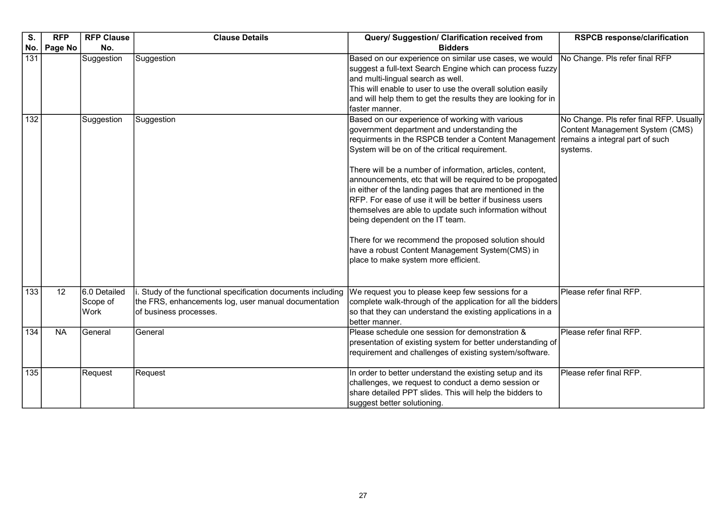| S.               | <b>RFP</b>     | <b>RFP Clause</b>                | <b>Clause Details</b>                                                                                                                       | Query/ Suggestion/ Clarification received from                                                                                                                                                                                                                                                                                                                                                                                                                                                                                                                                                                                                                                                            | <b>RSPCB response/clarification</b>                                                                                       |
|------------------|----------------|----------------------------------|---------------------------------------------------------------------------------------------------------------------------------------------|-----------------------------------------------------------------------------------------------------------------------------------------------------------------------------------------------------------------------------------------------------------------------------------------------------------------------------------------------------------------------------------------------------------------------------------------------------------------------------------------------------------------------------------------------------------------------------------------------------------------------------------------------------------------------------------------------------------|---------------------------------------------------------------------------------------------------------------------------|
| No.              | <b>Page No</b> | No.                              |                                                                                                                                             | <b>Bidders</b>                                                                                                                                                                                                                                                                                                                                                                                                                                                                                                                                                                                                                                                                                            |                                                                                                                           |
| 131              |                | Suggestion                       | Suggestion                                                                                                                                  | Based on our experience on similar use cases, we would<br>suggest a full-text Search Engine which can process fuzzy<br>and multi-lingual search as well.<br>This will enable to user to use the overall solution easily<br>and will help them to get the results they are looking for in<br>faster manner.                                                                                                                                                                                                                                                                                                                                                                                                | No Change. Pls refer final RFP                                                                                            |
| $\overline{132}$ |                | Suggestion                       | Suggestion                                                                                                                                  | Based on our experience of working with various<br>government department and understanding the<br>requirments in the RSPCB tender a Content Management<br>System will be on of the critical requirement.<br>There will be a number of information, articles, content,<br>announcements, etc that will be required to be propogated<br>in either of the landing pages that are mentioned in the<br>RFP. For ease of use it will be better if business users<br>themselves are able to update such information without<br>being dependent on the IT team.<br>There for we recommend the proposed solution should<br>have a robust Content Management System(CMS) in<br>place to make system more efficient. | No Change. Pls refer final RFP. Usually<br>Content Management System (CMS)<br>remains a integral part of such<br>systems. |
| $\overline{133}$ | 12             | 6.0 Detailed<br>Scope of<br>Work | Study of the functional specification documents including<br>the FRS, enhancements log, user manual documentation<br>of business processes. | We request you to please keep few sessions for a<br>complete walk-through of the application for all the bidders<br>so that they can understand the existing applications in a<br>better manner.                                                                                                                                                                                                                                                                                                                                                                                                                                                                                                          | Please refer final RFP.                                                                                                   |
| 134              | <b>NA</b>      | General                          | General                                                                                                                                     | Please schedule one session for demonstration &<br>presentation of existing system for better understanding of<br>requirement and challenges of existing system/software.                                                                                                                                                                                                                                                                                                                                                                                                                                                                                                                                 | Please refer final RFP.                                                                                                   |
| $\overline{135}$ |                | Request                          | Request                                                                                                                                     | In order to better understand the existing setup and its<br>challenges, we request to conduct a demo session or<br>share detailed PPT slides. This will help the bidders to<br>suggest better solutioning.                                                                                                                                                                                                                                                                                                                                                                                                                                                                                                | Please refer final RFP.                                                                                                   |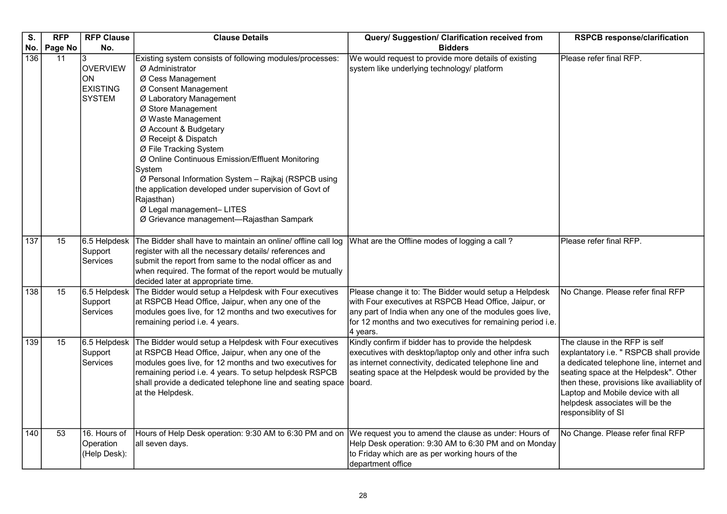| S.<br>No. | <b>RFP</b><br>Page No | <b>RFP Clause</b><br>No.                                  | <b>Clause Details</b>                                                                                                                                                                                                                                                                                                                                                                                                                                                                                                                            | Query/ Suggestion/ Clarification received from<br><b>Bidders</b>                                                                                                                                                                                      | <b>RSPCB response/clarification</b>                                                                                                                                                                                                                                                                         |
|-----------|-----------------------|-----------------------------------------------------------|--------------------------------------------------------------------------------------------------------------------------------------------------------------------------------------------------------------------------------------------------------------------------------------------------------------------------------------------------------------------------------------------------------------------------------------------------------------------------------------------------------------------------------------------------|-------------------------------------------------------------------------------------------------------------------------------------------------------------------------------------------------------------------------------------------------------|-------------------------------------------------------------------------------------------------------------------------------------------------------------------------------------------------------------------------------------------------------------------------------------------------------------|
| 136       | 11                    | 3<br><b>OVERVIEW</b><br>ION<br><b>EXISTING</b><br>Isystem | Existing system consists of following modules/processes:<br>Ø Administrator<br>Ø Cess Management<br>Ø Consent Management<br>Ø Laboratory Management<br>Ø Store Management<br>Ø Waste Management<br>Ø Account & Budgetary<br>Ø Receipt & Dispatch<br>Ø File Tracking System<br>Ø Online Continuous Emission/Effluent Monitoring<br>System<br>Ø Personal Information System - Rajkaj (RSPCB using<br>the application developed under supervision of Govt of<br>Rajasthan)<br>Ø Legal management- LITES<br>Ø Grievance management-Rajasthan Sampark | We would request to provide more details of existing<br>system like underlying technology/ platform                                                                                                                                                   | Please refer final RFP.                                                                                                                                                                                                                                                                                     |
| 137       | 15                    | 6.5 Helpdesk<br>Support<br><b>Services</b>                | The Bidder shall have to maintain an online/ offline call log<br>register with all the necessary details/ references and<br>submit the report from same to the nodal officer as and<br>when required. The format of the report would be mutually<br>decided later at appropriate time.                                                                                                                                                                                                                                                           | What are the Offline modes of logging a call?                                                                                                                                                                                                         | Please refer final RFP.                                                                                                                                                                                                                                                                                     |
| 138       | 15                    | 6.5 Helpdesk<br>Support<br>Services                       | The Bidder would setup a Helpdesk with Four executives<br>at RSPCB Head Office, Jaipur, when any one of the<br>modules goes live, for 12 months and two executives for<br>remaining period i.e. 4 years.                                                                                                                                                                                                                                                                                                                                         | Please change it to: The Bidder would setup a Helpdesk<br>with Four executives at RSPCB Head Office, Jaipur, or<br>any part of India when any one of the modules goes live,<br>for 12 months and two executives for remaining period i.e.<br>4 years. | No Change. Please refer final RFP                                                                                                                                                                                                                                                                           |
| 139       | 15                    | 6.5 Helpdesk<br>Support<br>Services                       | The Bidder would setup a Helpdesk with Four executives<br>at RSPCB Head Office, Jaipur, when any one of the<br>modules goes live, for 12 months and two executives for<br>remaining period i.e. 4 years. To setup helpdesk RSPCB<br>shall provide a dedicated telephone line and seating space<br>at the Helpdesk.                                                                                                                                                                                                                               | Kindly confirm if bidder has to provide the helpdesk<br>executives with desktop/laptop only and other infra such<br>as internet connectivity, dedicated telephone line and<br>seating space at the Helpdesk would be provided by the<br>board.        | The clause in the RFP is self<br>explantatory i.e. " RSPCB shall provide<br>a dedicated telephone line, internet and<br>seating space at the Helpdesk". Other<br>then these, provisions like availiablity of<br>Laptop and Mobile device with all<br>helpdesk associates will be the<br>responsiblity of SI |
| 140       | 53                    | 16. Hours of<br>Operation<br>(Help Desk):                 | Hours of Help Desk operation: 9:30 AM to 6:30 PM and on<br>all seven days.                                                                                                                                                                                                                                                                                                                                                                                                                                                                       | We request you to amend the clause as under: Hours of<br>Help Desk operation: 9:30 AM to 6:30 PM and on Monday<br>to Friday which are as per working hours of the<br>department office                                                                | No Change. Please refer final RFP                                                                                                                                                                                                                                                                           |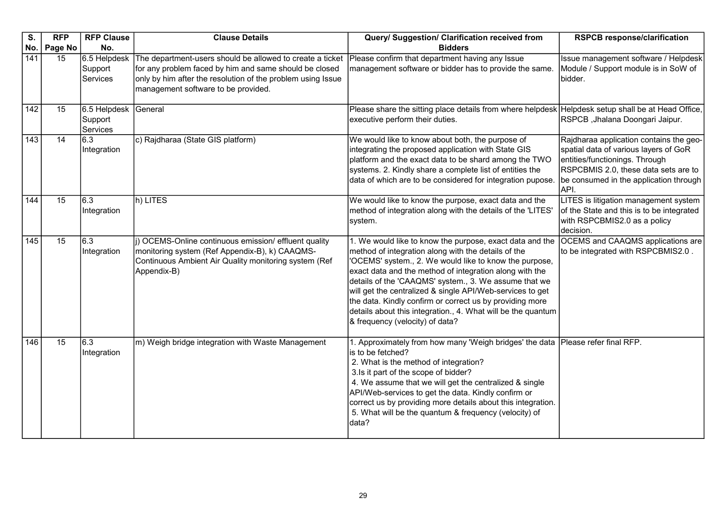| S.              | <b>RFP</b> | <b>RFP Clause</b>                   | <b>Clause Details</b>                                                                                                                                                                                                     | Query/ Suggestion/ Clarification received from                                                                                                                                                                                                                                                                                                                                                                                                                                                                            | <b>RSPCB response/clarification</b>                                                                                                                                                                          |
|-----------------|------------|-------------------------------------|---------------------------------------------------------------------------------------------------------------------------------------------------------------------------------------------------------------------------|---------------------------------------------------------------------------------------------------------------------------------------------------------------------------------------------------------------------------------------------------------------------------------------------------------------------------------------------------------------------------------------------------------------------------------------------------------------------------------------------------------------------------|--------------------------------------------------------------------------------------------------------------------------------------------------------------------------------------------------------------|
| No.             | Page No    | No.                                 |                                                                                                                                                                                                                           | <b>Bidders</b>                                                                                                                                                                                                                                                                                                                                                                                                                                                                                                            |                                                                                                                                                                                                              |
| 141             | 15         | 6.5 Helpdesk<br>Support<br>Services | The department-users should be allowed to create a ticket<br>for any problem faced by him and same should be closed<br>only by him after the resolution of the problem using Issue<br>management software to be provided. | Please confirm that department having any Issue<br>management software or bidder has to provide the same.                                                                                                                                                                                                                                                                                                                                                                                                                 | Issue management software / Helpdesk<br>Module / Support module is in SoW of<br>bidder.                                                                                                                      |
| $\frac{142}{ }$ | 15         | 6.5 Helpdesk<br>Support<br>Services | General                                                                                                                                                                                                                   | Please share the sitting place details from where helpdesk   Helpdesk setup shall be at Head Office,<br>executive perform their duties.                                                                                                                                                                                                                                                                                                                                                                                   | RSPCB, Jhalana Doongari Jaipur.                                                                                                                                                                              |
| 143             | 14         | 6.3<br>Integration                  | c) Rajdharaa (State GIS platform)                                                                                                                                                                                         | We would like to know about both, the purpose of<br>integrating the proposed application with State GIS<br>platform and the exact data to be shard among the TWO<br>systems. 2. Kindly share a complete list of entities the<br>data of which are to be considered for integration pupose.                                                                                                                                                                                                                                | Rajdharaa application contains the geo-<br>spatial data of various layers of GoR<br>entities/functionings. Through<br>RSPCBMIS 2.0, these data sets are to<br>be consumed in the application through<br>API. |
| 144             | 15         | 6.3<br>Integration                  | h) LITES                                                                                                                                                                                                                  | We would like to know the purpose, exact data and the<br>method of integration along with the details of the 'LITES'<br>system.                                                                                                                                                                                                                                                                                                                                                                                           | LITES is litigation management system<br>of the State and this is to be integrated<br>with RSPCBMIS2.0 as a policy<br>decision.                                                                              |
| 145             | 15         | 6.3<br>Integration                  | (i) OCEMS-Online continuous emission/ effluent quality<br>monitoring system (Ref Appendix-B), k) CAAQMS-<br>Continuous Ambient Air Quality monitoring system (Ref<br>Appendix-B)                                          | 1. We would like to know the purpose, exact data and the<br>method of integration along with the details of the<br>'OCEMS' system., 2. We would like to know the purpose,<br>exact data and the method of integration along with the<br>details of the 'CAAQMS' system., 3. We assume that we<br>will get the centralized & single API/Web-services to get<br>the data. Kindly confirm or correct us by providing more<br>details about this integration., 4. What will be the quantum<br>& frequency (velocity) of data? | <b>OCEMS</b> and CAAQMS applications are<br>to be integrated with RSPCBMIS2.0.                                                                                                                               |
| 146             | 15         | 6.3<br>Integration                  | m) Weigh bridge integration with Waste Management                                                                                                                                                                         | 1. Approximately from how many 'Weigh bridges' the data<br>is to be fetched?<br>2. What is the method of integration?<br>3.Is it part of the scope of bidder?<br>4. We assume that we will get the centralized & single<br>API/Web-services to get the data. Kindly confirm or<br>correct us by providing more details about this integration.<br>5. What will be the quantum & frequency (velocity) of<br>data?                                                                                                          | Please refer final RFP.                                                                                                                                                                                      |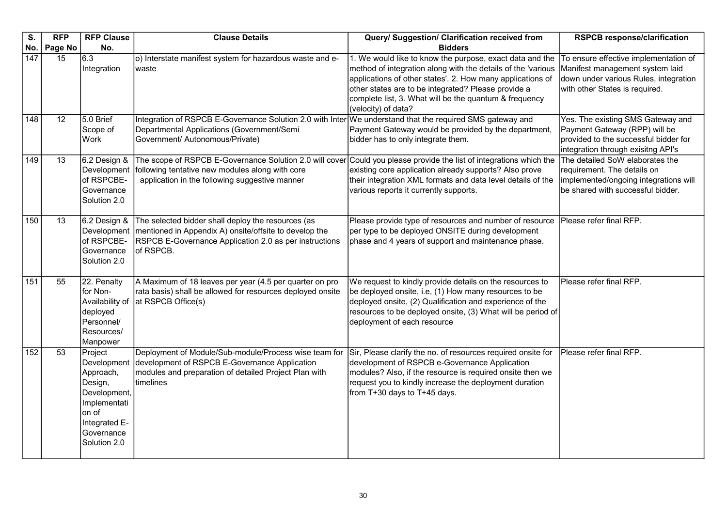| S.  | <b>RFP</b>      | <b>RFP Clause</b>                                                                                                                      | <b>Clause Details</b>                                                                                                                                                                                                    | Query/ Suggestion/ Clarification received from                                                                                                                                                                                                                                                                                 | <b>RSPCB response/clarification</b>                                                                                                                 |
|-----|-----------------|----------------------------------------------------------------------------------------------------------------------------------------|--------------------------------------------------------------------------------------------------------------------------------------------------------------------------------------------------------------------------|--------------------------------------------------------------------------------------------------------------------------------------------------------------------------------------------------------------------------------------------------------------------------------------------------------------------------------|-----------------------------------------------------------------------------------------------------------------------------------------------------|
| No. | Page No         | No.                                                                                                                                    |                                                                                                                                                                                                                          | <b>Bidders</b>                                                                                                                                                                                                                                                                                                                 |                                                                                                                                                     |
| 147 | 15              | $\overline{6.3}$<br>Integration                                                                                                        | o) Interstate manifest system for hazardous waste and e-<br>waste                                                                                                                                                        | 1. We would like to know the purpose, exact data and the<br>method of integration along with the details of the 'various<br>applications of other states'. 2. How many applications of<br>other states are to be integrated? Please provide a<br>complete list, 3. What will be the quantum & frequency<br>(velocity) of data? | To ensure effective implementation of<br>Manifest management system laid<br>down under various Rules, integration<br>with other States is required. |
| 148 | $\overline{12}$ | 5.0 Brief<br>Scope of<br>Work                                                                                                          | Integration of RSPCB E-Governance Solution 2.0 with Inter We understand that the required SMS gateway and<br>Departmental Applications (Government/Semi<br>Government/ Autonomous/Private)                               | Payment Gateway would be provided by the department,<br>bidder has to only integrate them.                                                                                                                                                                                                                                     | Yes. The existing SMS Gateway and<br>Payment Gateway (RPP) will be<br>provided to the successful bidder for<br>integration through exisitng API's   |
| 149 | 13              | 6.2 Design &<br>Development<br>of RSPCBE-<br>Governance<br>Solution 2.0                                                                | The scope of RSPCB E-Governance Solution 2.0 will cover Could you please provide the list of integrations which the<br>following tentative new modules along with core<br>application in the following suggestive manner | existing core application already supports? Also prove<br>their integration XML formats and data level details of the<br>various reports it currently supports.                                                                                                                                                                | The detailed SoW elaborates the<br>requirement. The details on<br>implemented/ongoing integrations will<br>lbe shared with successful bidder.       |
| 150 | 13              | 6.2 Design &<br>Development<br>of RSPCBE-<br>Governance<br>Solution 2.0                                                                | The selected bidder shall deploy the resources (as<br>mentioned in Appendix A) onsite/offsite to develop the<br>RSPCB E-Governance Application 2.0 as per instructions<br>of RSPCB.                                      | Please provide type of resources and number of resource<br>per type to be deployed ONSITE during development<br>phase and 4 years of support and maintenance phase.                                                                                                                                                            | Please refer final RFP.                                                                                                                             |
| 151 | 55              | 22. Penalty<br>for Non-<br>Availability of<br>deployed<br>Personnel/<br>Resources/<br>Manpower                                         | A Maximum of 18 leaves per year (4.5 per quarter on pro<br>rata basis) shall be allowed for resources deployed onsite<br>at RSPCB Office(s)                                                                              | We request to kindly provide details on the resources to<br>be deployed onsite, i.e, (1) How many resources to be<br>deployed onsite, (2) Qualification and experience of the<br>resources to be deployed onsite, (3) What will be period of<br>deployment of each resource                                                    | Please refer final RFP.                                                                                                                             |
| 152 | 53              | Project<br>Development<br>Approach,<br>Design,<br>Development,<br>Implementati<br>on of<br>Integrated E-<br>Governance<br>Solution 2.0 | Deployment of Module/Sub-module/Process wise team for<br>development of RSPCB E-Governance Application<br>modules and preparation of detailed Project Plan with<br>timelines                                             | Sir, Please clarify the no. of resources required onsite for<br>development of RSPCB e-Governance Application<br>modules? Also, if the resource is required onsite then we<br>request you to kindly increase the deployment duration<br>from T+30 days to T+45 days.                                                           | Please refer final RFP.                                                                                                                             |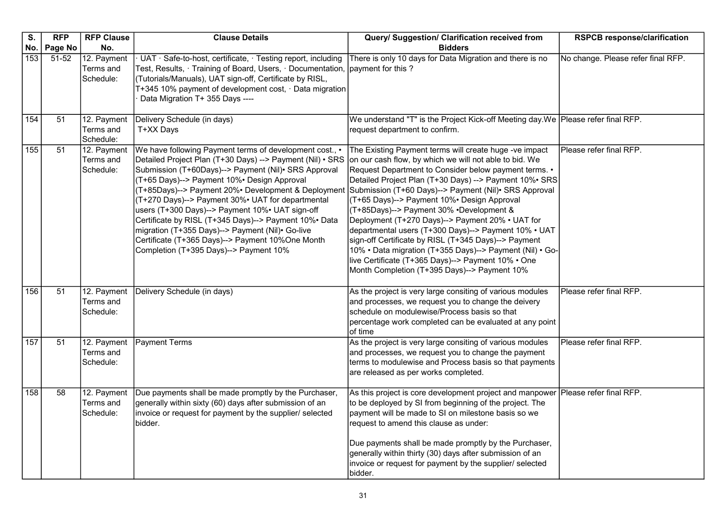| $\overline{\mathsf{s}}$ . | <b>RFP</b>      | <b>RFP Clause</b>                     | <b>Clause Details</b>                                                                                                                                                                                                                                                                                                                                                                                                                                                                                                                                                                               | Query/ Suggestion/ Clarification received from                                                                                                                                                                                                                                                                                                                                                                                                                                                                                                                                                                                                                                                                                 | <b>RSPCB response/clarification</b> |
|---------------------------|-----------------|---------------------------------------|-----------------------------------------------------------------------------------------------------------------------------------------------------------------------------------------------------------------------------------------------------------------------------------------------------------------------------------------------------------------------------------------------------------------------------------------------------------------------------------------------------------------------------------------------------------------------------------------------------|--------------------------------------------------------------------------------------------------------------------------------------------------------------------------------------------------------------------------------------------------------------------------------------------------------------------------------------------------------------------------------------------------------------------------------------------------------------------------------------------------------------------------------------------------------------------------------------------------------------------------------------------------------------------------------------------------------------------------------|-------------------------------------|
|                           | No.   Page No   | No.                                   |                                                                                                                                                                                                                                                                                                                                                                                                                                                                                                                                                                                                     | <b>Bidders</b>                                                                                                                                                                                                                                                                                                                                                                                                                                                                                                                                                                                                                                                                                                                 |                                     |
| 153                       | 51-52           | 12. Payment<br>Terms and<br>Schedule: | UAT · Safe-to-host, certificate, · Testing report, including<br>Test, Results, · Training of Board, Users, · Documentation,  payment for this ?<br>(Tutorials/Manuals), UAT sign-off, Certificate by RISL,<br>T+345 10% payment of development cost, $\cdot$ Data migration<br>Data Migration T+ 355 Days ----                                                                                                                                                                                                                                                                                      | There is only 10 days for Data Migration and there is no                                                                                                                                                                                                                                                                                                                                                                                                                                                                                                                                                                                                                                                                       | No change. Please refer final RFP.  |
| $\overline{154}$          | 51              | 12. Payment<br>Terms and<br>Schedule: | Delivery Schedule (in days)<br>T+XX Days                                                                                                                                                                                                                                                                                                                                                                                                                                                                                                                                                            | We understand "T" is the Project Kick-off Meeting day. We Please refer final RFP.<br>request department to confirm.                                                                                                                                                                                                                                                                                                                                                                                                                                                                                                                                                                                                            |                                     |
| $\overline{155}$          | 51              | 12. Payment<br>Terms and<br>Schedule: | We have following Payment terms of development cost., •<br>Detailed Project Plan (T+30 Days) --> Payment (Nil) • SRS<br>Submission (T+60Days)--> Payment (Nil)• SRS Approval<br>(T+65 Days)--> Payment 10% Design Approval<br>(T+85Days)--> Payment 20%• Development & Deployment<br>(T+270 Days)--> Payment 30%• UAT for departmental<br>users (T+300 Days)--> Payment 10%• UAT sign-off<br>Certificate by RISL (T+345 Days)--> Payment 10%• Data<br>migration (T+355 Days)--> Payment (Nil) Go-live<br>Certificate (T+365 Days)--> Payment 10%One Month<br>Completion (T+395 Days)--> Payment 10% | The Existing Payment terms will create huge -ve impact<br>on our cash flow, by which we will not able to bid. We<br>Request Department to Consider below payment terms. •<br>Detailed Project Plan (T+30 Days) --> Payment 10%• SRS<br>Submission (T+60 Days)--> Payment (Nil) · SRS Approval<br>(T+65 Days)--> Payment 10%• Design Approval<br>(T+85Days)--> Payment 30% •Development &<br>Deployment (T+270 Days)--> Payment 20% • UAT for<br>departmental users (T+300 Days)--> Payment 10% • UAT<br>sign-off Certificate by RISL (T+345 Days)--> Payment<br>10% • Data migration (T+355 Days)--> Payment (Nil) • Go-<br>live Certificate (T+365 Days)--> Payment 10% . One<br>Month Completion (T+395 Days)--> Payment 10% | Please refer final RFP.             |
| 156                       | 51              | 12. Payment<br>Terms and<br>Schedule: | Delivery Schedule (in days)                                                                                                                                                                                                                                                                                                                                                                                                                                                                                                                                                                         | As the project is very large consiting of various modules<br>and processes, we request you to change the deivery<br>schedule on modulewise/Process basis so that<br>percentage work completed can be evaluated at any point<br>of time                                                                                                                                                                                                                                                                                                                                                                                                                                                                                         | Please refer final RFP.             |
| 157                       | 51              | 12. Payment<br>Terms and<br>Schedule: | Payment Terms                                                                                                                                                                                                                                                                                                                                                                                                                                                                                                                                                                                       | As the project is very large consiting of various modules<br>and processes, we request you to change the payment<br>terms to modulewise and Process basis so that payments<br>are released as per works completed.                                                                                                                                                                                                                                                                                                                                                                                                                                                                                                             | Please refer final RFP.             |
| 158                       | $\overline{58}$ | 12. Payment<br>Terms and<br>Schedule: | Due payments shall be made promptly by the Purchaser,<br>generally within sixty (60) days after submission of an<br>invoice or request for payment by the supplier/ selected<br>bidder.                                                                                                                                                                                                                                                                                                                                                                                                             | As this project is core development project and manpower Please refer final RFP.<br>to be deployed by SI from beginning of the project. The<br>payment will be made to SI on milestone basis so we<br>request to amend this clause as under:<br>Due payments shall be made promptly by the Purchaser,<br>generally within thirty (30) days after submission of an<br>invoice or request for payment by the supplier/ selected<br>bidder.                                                                                                                                                                                                                                                                                       |                                     |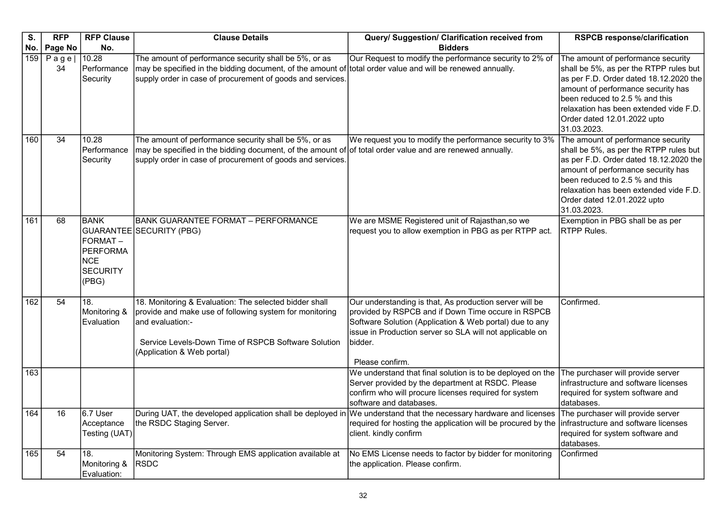| S.  | <b>RFP</b>    | <b>RFP Clause</b>                                                                   | <b>Clause Details</b>                                                                                                                                                                                                             | Query/ Suggestion/ Clarification received from                                                                                                                                                                                                                     | <b>RSPCB response/clarification</b>                                                                                                                                                                                                                                                    |
|-----|---------------|-------------------------------------------------------------------------------------|-----------------------------------------------------------------------------------------------------------------------------------------------------------------------------------------------------------------------------------|--------------------------------------------------------------------------------------------------------------------------------------------------------------------------------------------------------------------------------------------------------------------|----------------------------------------------------------------------------------------------------------------------------------------------------------------------------------------------------------------------------------------------------------------------------------------|
| No. | Page No       | No.                                                                                 |                                                                                                                                                                                                                                   | <b>Bidders</b>                                                                                                                                                                                                                                                     |                                                                                                                                                                                                                                                                                        |
| 159 | $P$ age<br>34 | 10.28<br>Performance<br>Security                                                    | The amount of performance security shall be 5%, or as<br>may be specified in the bidding document, of the amount of total order value and will be renewed annually.<br>supply order in case of procurement of goods and services. | Our Request to modify the performance security to 2% of                                                                                                                                                                                                            | The amount of performance security<br>shall be 5%, as per the RTPP rules but<br>as per F.D. Order dated 18.12.2020 the<br>amount of performance security has<br>been reduced to 2.5 % and this<br>relaxation has been extended vide F.D.<br>Order dated 12.01.2022 upto<br>31.03.2023. |
| 160 | 34            | 10.28<br>Performance<br>Security                                                    | The amount of performance security shall be 5%, or as<br>may be specified in the bidding document, of the amount of of total order value and are renewed annually.<br>supply order in case of procurement of goods and services.  | We request you to modify the performance security to 3%                                                                                                                                                                                                            | The amount of performance security<br>shall be 5%, as per the RTPP rules but<br>as per F.D. Order dated 18.12.2020 the<br>amount of performance security has<br>been reduced to 2.5 % and this<br>relaxation has been extended vide F.D.<br>Order dated 12.01.2022 upto<br>31.03.2023. |
| 161 | 68            | <b>BANK</b><br>FORMAT-<br><b>PERFORMA</b><br><b>NCE</b><br><b>SECURITY</b><br>(PBG) | <b>BANK GUARANTEE FORMAT - PERFORMANCE</b><br>GUARANTEE SECURITY (PBG)                                                                                                                                                            | We are MSME Registered unit of Rajasthan, so we<br>request you to allow exemption in PBG as per RTPP act.                                                                                                                                                          | Exemption in PBG shall be as per<br><b>RTPP Rules.</b>                                                                                                                                                                                                                                 |
| 162 | 54            | 18.<br>Monitoring &<br>Evaluation                                                   | 18. Monitoring & Evaluation: The selected bidder shall<br>provide and make use of following system for monitoring<br>and evaluation:-<br>Service Levels-Down Time of RSPCB Software Solution<br>(Application & Web portal)        | Our understanding is that, As production server will be<br>provided by RSPCB and if Down Time occure in RSPCB<br>Software Solution (Application & Web portal) due to any<br>issue in Production server so SLA will not applicable on<br>bidder.<br>Please confirm. | Confirmed.                                                                                                                                                                                                                                                                             |
| 163 |               |                                                                                     |                                                                                                                                                                                                                                   | We understand that final solution is to be deployed on the<br>Server provided by the department at RSDC. Please<br>confirm who will procure licenses required for system<br>software and databases.                                                                | The purchaser will provide server<br>infrastructure and software licenses<br>required for system software and<br>databases.                                                                                                                                                            |
| 164 | 16            | 6.7 User<br>Acceptance<br>Testing (UAT)                                             | During UAT, the developed application shall be deployed in We understand that the necessary hardware and licenses<br>the RSDC Staging Server.                                                                                     | required for hosting the application will be procured by the<br>client. kindly confirm                                                                                                                                                                             | The purchaser will provide server<br>infrastructure and software licenses<br>required for system software and<br>databases.                                                                                                                                                            |
| 165 | 54            | 18.<br>Monitoring &<br>Evaluation:                                                  | Monitoring System: Through EMS application available at<br><b>RSDC</b>                                                                                                                                                            | No EMS License needs to factor by bidder for monitoring<br>the application. Please confirm.                                                                                                                                                                        | Confirmed                                                                                                                                                                                                                                                                              |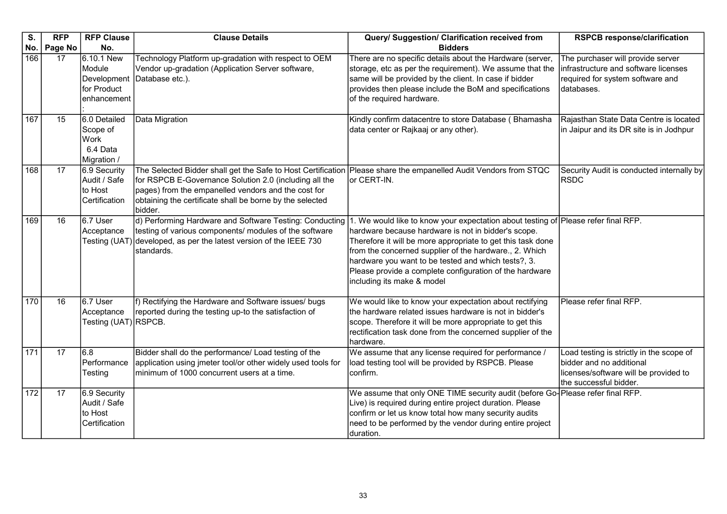| S.  | <b>RFP</b> | <b>RFP Clause</b>                                                 | <b>Clause Details</b>                                                                                                                                                                                                                                                                                    | Query/ Suggestion/ Clarification received from                                                                                                                                                                                                                                                                                                                                                                     | <b>RSPCB response/clarification</b>                                                                                                     |
|-----|------------|-------------------------------------------------------------------|----------------------------------------------------------------------------------------------------------------------------------------------------------------------------------------------------------------------------------------------------------------------------------------------------------|--------------------------------------------------------------------------------------------------------------------------------------------------------------------------------------------------------------------------------------------------------------------------------------------------------------------------------------------------------------------------------------------------------------------|-----------------------------------------------------------------------------------------------------------------------------------------|
| No. | Page No    | No.                                                               |                                                                                                                                                                                                                                                                                                          | <b>Bidders</b>                                                                                                                                                                                                                                                                                                                                                                                                     |                                                                                                                                         |
| 166 | 17         | 6.10.1 New<br>Module<br>Development<br>for Product<br>enhancement | Technology Platform up-gradation with respect to OEM<br>Vendor up-gradation (Application Server software,<br>Database etc.).                                                                                                                                                                             | There are no specific details about the Hardware (server,<br>storage, etc as per the requirement). We assume that the<br>same will be provided by the client. In case if bidder<br>provides then please include the BoM and specifications<br>of the required hardware.                                                                                                                                            | The purchaser will provide server<br>infrastructure and software licenses<br>required for system software and<br>databases.             |
| 167 | 15         | 6.0 Detailed<br>Scope of<br>Work<br>6.4 Data<br>Migration /       | Data Migration                                                                                                                                                                                                                                                                                           | Kindly confirm datacentre to store Database (Bhamasha<br>data center or Rajkaaj or any other).                                                                                                                                                                                                                                                                                                                     | Rajasthan State Data Centre is located<br>in Jaipur and its DR site is in Jodhpur                                                       |
| 168 | 17         | 6.9 Security<br>Audit / Safe<br>to Host<br>Certification          | The Selected Bidder shall get the Safe to Host Certification Please share the empanelled Audit Vendors from STQC<br>for RSPCB E-Governance Solution 2.0 (including all the<br>pages) from the empanelled vendors and the cost for<br>obtaining the certificate shall be borne by the selected<br>bidder. | or CERT-IN.                                                                                                                                                                                                                                                                                                                                                                                                        | Security Audit is conducted internally by<br><b>RSDC</b>                                                                                |
| 169 | 16         | $6.7$ User<br>Acceptance                                          | d) Performing Hardware and Software Testing: Conducting<br>testing of various components/ modules of the software<br>Testing (UAT) developed, as per the latest version of the IEEE 730<br>standards.                                                                                                    | 1. We would like to know your expectation about testing of Please refer final RFP.<br>hardware because hardware is not in bidder's scope.<br>Therefore it will be more appropriate to get this task done<br>from the concerned supplier of the hardware., 2. Which<br>hardware you want to be tested and which tests?, 3.<br>Please provide a complete configuration of the hardware<br>including its make & model |                                                                                                                                         |
| 170 | 16         | $6.7$ User<br>Acceptance<br>Testing (UAT) RSPCB.                  | f) Rectifying the Hardware and Software issues/ bugs<br>reported during the testing up-to the satisfaction of                                                                                                                                                                                            | We would like to know your expectation about rectifying<br>the hardware related issues hardware is not in bidder's<br>scope. Therefore it will be more appropriate to get this<br>rectification task done from the concerned supplier of the<br>hardware.                                                                                                                                                          | Please refer final RFP.                                                                                                                 |
| 171 | 17         | 6.8<br>Performance<br>Testing                                     | Bidder shall do the performance/ Load testing of the<br>application using jmeter tool/or other widely used tools for<br>minimum of 1000 concurrent users at a time.                                                                                                                                      | We assume that any license required for performance /<br>load testing tool will be provided by RSPCB. Please<br>confirm.                                                                                                                                                                                                                                                                                           | Load testing is strictly in the scope of<br>bidder and no additional<br>licenses/software will be provided to<br>the successful bidder. |
| 172 | 17         | 6.9 Security<br>Audit / Safe<br>to Host<br>Certification          |                                                                                                                                                                                                                                                                                                          | We assume that only ONE TIME security audit (before Go-Please refer final RFP.<br>Live) is required during entire project duration. Please<br>confirm or let us know total how many security audits<br>need to be performed by the vendor during entire project<br>duration.                                                                                                                                       |                                                                                                                                         |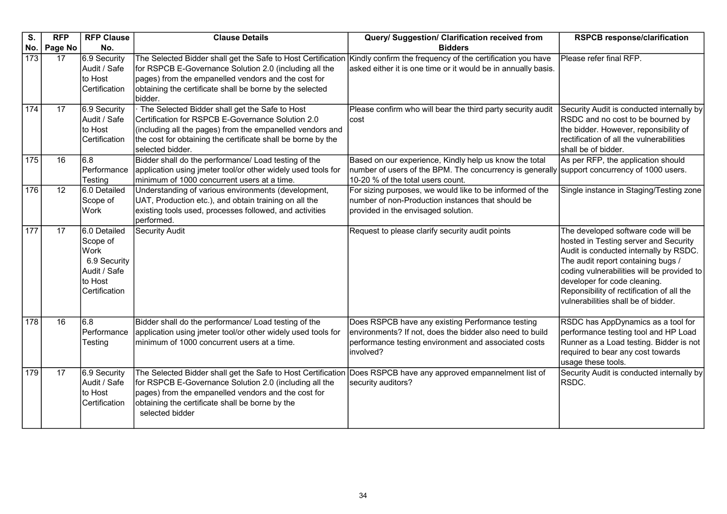| S.               | <b>RFP</b> | <b>RFP Clause</b>                                                                            | <b>Clause Details</b>                                                                                                                                                                                                                                | Query/ Suggestion/ Clarification received from                                                                                                                                             | <b>RSPCB response/clarification</b>                                                                                                                                                                                                                                                                                            |
|------------------|------------|----------------------------------------------------------------------------------------------|------------------------------------------------------------------------------------------------------------------------------------------------------------------------------------------------------------------------------------------------------|--------------------------------------------------------------------------------------------------------------------------------------------------------------------------------------------|--------------------------------------------------------------------------------------------------------------------------------------------------------------------------------------------------------------------------------------------------------------------------------------------------------------------------------|
| No.              | Page No    | No.                                                                                          |                                                                                                                                                                                                                                                      | <b>Bidders</b>                                                                                                                                                                             |                                                                                                                                                                                                                                                                                                                                |
| $\overline{173}$ | 17         | 6.9 Security<br>Audit / Safe<br>to Host<br>Certification                                     | The Selected Bidder shall get the Safe to Host Certification<br>for RSPCB E-Governance Solution 2.0 (including all the<br>pages) from the empanelled vendors and the cost for<br>obtaining the certificate shall be borne by the selected<br>bidder. | Kindly confirm the frequency of the certification you have<br>asked either it is one time or it would be in annually basis.                                                                | Please refer final RFP.                                                                                                                                                                                                                                                                                                        |
| 174              | 17         | 6.9 Security<br>Audit / Safe<br>to Host<br>Certification                                     | The Selected Bidder shall get the Safe to Host<br>Certification for RSPCB E-Governance Solution 2.0<br>(including all the pages) from the empanelled vendors and<br>the cost for obtaining the certificate shall be borne by the<br>selected bidder. | Please confirm who will bear the third party security audit<br>lcost                                                                                                                       | Security Audit is conducted internally by<br>RSDC and no cost to be bourned by<br>the bidder. However, reponsibility of<br>rectification of all the vulnerabilities<br>shall be of bidder.                                                                                                                                     |
| 175              | 16         | 6.8<br>Performance<br>Testing                                                                | Bidder shall do the performance/ Load testing of the<br>application using jmeter tool/or other widely used tools for<br>minimum of 1000 concurrent users at a time.                                                                                  | Based on our experience, Kindly help us know the total<br>number of users of the BPM. The concurrency is generally support concurrency of 1000 users.<br>10-20 % of the total users count. | As per RFP, the application should                                                                                                                                                                                                                                                                                             |
| 176              | 12         | 6.0 Detailed<br>Scope of<br>Work                                                             | Understanding of various environments (development,<br>UAT, Production etc.), and obtain training on all the<br>existing tools used, processes followed, and activities<br>performed.                                                                | For sizing purposes, we would like to be informed of the<br>number of non-Production instances that should be<br>provided in the envisaged solution.                                       | Single instance in Staging/Testing zone                                                                                                                                                                                                                                                                                        |
| 177              | 17         | 6.0 Detailed<br>Scope of<br>Work<br>6.9 Security<br>Audit / Safe<br>to Host<br>Certification | <b>Security Audit</b>                                                                                                                                                                                                                                | Request to please clarify security audit points                                                                                                                                            | The developed software code will be<br>hosted in Testing server and Security<br>Audit is conducted internally by RSDC.<br>The audit report containing bugs /<br>coding vulnerabilities will be provided to<br>developer for code cleaning.<br>Reponsibility of rectification of all the<br>vulnerabilities shall be of bidder. |
| 178              | 16         | 6.8<br>Performance<br>Testing                                                                | Bidder shall do the performance/ Load testing of the<br>application using jmeter tool/or other widely used tools for<br>minimum of 1000 concurrent users at a time.                                                                                  | Does RSPCB have any existing Performance testing<br>environments? If not, does the bidder also need to build<br>performance testing environment and associated costs<br>involved?          | RSDC has AppDynamics as a tool for<br>performance testing tool and HP Load<br>Runner as a Load testing. Bidder is not<br>required to bear any cost towards<br>usage these tools.                                                                                                                                               |
| 179              | 17         | 6.9 Security<br>Audit / Safe<br>to Host<br>Certification                                     | The Selected Bidder shall get the Safe to Host Certification<br>for RSPCB E-Governance Solution 2.0 (including all the<br>pages) from the empanelled vendors and the cost for<br>obtaining the certificate shall be borne by the<br>selected bidder  | Does RSPCB have any approved empannelment list of<br>security auditors?                                                                                                                    | Security Audit is conducted internally by<br>RSDC.                                                                                                                                                                                                                                                                             |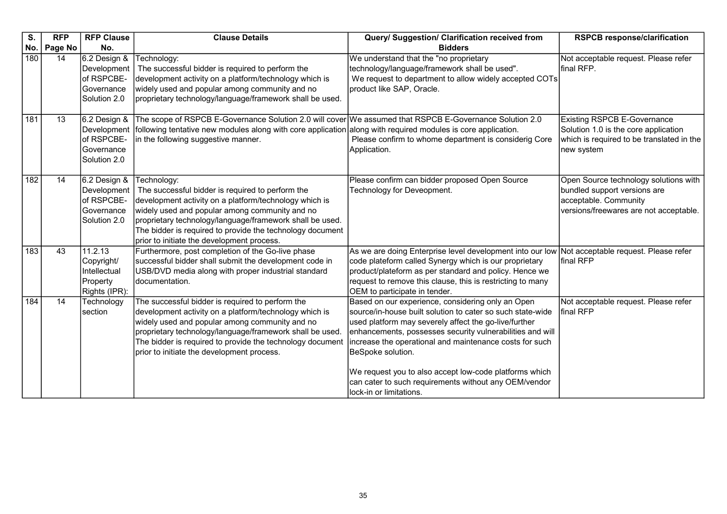| S.  | <b>RFP</b> | <b>RFP Clause</b>                                                       | <b>Clause Details</b>                                                                                                                                                                                                                                                                                                                              | Query/ Suggestion/ Clarification received from                                                                                                                                                                                                                                                                                                                                                                                                                      | <b>RSPCB response/clarification</b>                                                                                                      |
|-----|------------|-------------------------------------------------------------------------|----------------------------------------------------------------------------------------------------------------------------------------------------------------------------------------------------------------------------------------------------------------------------------------------------------------------------------------------------|---------------------------------------------------------------------------------------------------------------------------------------------------------------------------------------------------------------------------------------------------------------------------------------------------------------------------------------------------------------------------------------------------------------------------------------------------------------------|------------------------------------------------------------------------------------------------------------------------------------------|
| No. | Page No    | No.                                                                     |                                                                                                                                                                                                                                                                                                                                                    | <b>Bidders</b>                                                                                                                                                                                                                                                                                                                                                                                                                                                      |                                                                                                                                          |
| 180 | 14         | 6.2 Design &<br>Development<br>of RSPCBE-<br>Governance<br>Solution 2.0 | Technology:<br>The successful bidder is required to perform the<br>development activity on a platform/technology which is<br>widely used and popular among community and no<br>proprietary technology/language/framework shall be used.                                                                                                            | We understand that the "no proprietary<br>technology/language/framework shall be used".<br>We request to department to allow widely accepted COTs<br>product like SAP, Oracle.                                                                                                                                                                                                                                                                                      | Not acceptable request. Please refer<br>final RFP.                                                                                       |
| 181 | 13         | 6.2 Design &<br>Development<br>of RSPCBE-<br>Governance<br>Solution 2.0 | The scope of RSPCB E-Governance Solution 2.0 will cover We assumed that RSPCB E-Governance Solution 2.0<br>following tentative new modules along with core application along with required modules is core application.<br>in the following suggestive manner.                                                                                     | Please confirm to whome department is considerig Core<br>Application.                                                                                                                                                                                                                                                                                                                                                                                               | <b>Existing RSPCB E-Governance</b><br>Solution 1.0 is the core application<br>which is required to be translated in the<br>new system    |
| 182 | 14         | 6.2 Design &<br>Development<br>of RSPCBE-<br>Governance<br>Solution 2.0 | Technology:<br>The successful bidder is required to perform the<br>development activity on a platform/technology which is<br>widely used and popular among community and no<br>proprietary technology/language/framework shall be used.<br>The bidder is required to provide the technology document<br>prior to initiate the development process. | Please confirm can bidder proposed Open Source<br>Technology for Deveopment.                                                                                                                                                                                                                                                                                                                                                                                        | Open Source technology solutions with<br>bundled support versions are<br>acceptable. Community<br>versions/freewares are not acceptable. |
| 183 | 43         | 11.2.13<br>Copyright/<br>Intellectual<br>Property<br>Rights (IPR):      | Furthermore, post completion of the Go-live phase<br>successful bidder shall submit the development code in<br>USB/DVD media along with proper industrial standard<br>documentation.                                                                                                                                                               | As we are doing Enterprise level development into our low Not acceptable request. Please refer<br>code plateform called Synergy which is our proprietary<br>product/plateform as per standard and policy. Hence we<br>request to remove this clause, this is restricting to many<br>OEM to participate in tender.                                                                                                                                                   | final RFP                                                                                                                                |
| 184 | 14         | Technology<br>section                                                   | The successful bidder is required to perform the<br>development activity on a platform/technology which is<br>widely used and popular among community and no<br>proprietary technology/language/framework shall be used.<br>The bidder is required to provide the technology document<br>prior to initiate the development process.                | Based on our experience, considering only an Open<br>source/in-house built solution to cater so such state-wide<br>used platform may severely affect the go-live/further<br>enhancements, possesses security vulnerabilities and will<br>increase the operational and maintenance costs for such<br>BeSpoke solution.<br>We request you to also accept low-code platforms which<br>can cater to such requirements without any OEM/vendor<br>lock-in or limitations. | Not acceptable request. Please refer<br>final RFP                                                                                        |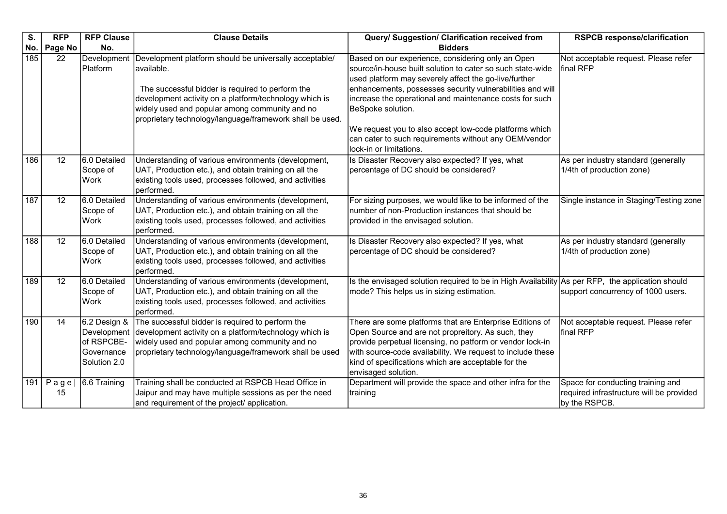| S.  | <b>RFP</b>     | <b>RFP Clause</b>                                                       | <b>Clause Details</b>                                                                                                                                                                                                                                                                            | Query/ Suggestion/ Clarification received from                                                                                                                                                                                                                                                                                                                                                                                                                      | <b>RSPCB response/clarification</b>                                                            |
|-----|----------------|-------------------------------------------------------------------------|--------------------------------------------------------------------------------------------------------------------------------------------------------------------------------------------------------------------------------------------------------------------------------------------------|---------------------------------------------------------------------------------------------------------------------------------------------------------------------------------------------------------------------------------------------------------------------------------------------------------------------------------------------------------------------------------------------------------------------------------------------------------------------|------------------------------------------------------------------------------------------------|
| No. | Page No        | No.                                                                     |                                                                                                                                                                                                                                                                                                  | <b>Bidders</b>                                                                                                                                                                                                                                                                                                                                                                                                                                                      |                                                                                                |
| 185 | 22             | Development<br>Platform                                                 | Development platform should be universally acceptable/<br>available.<br>The successful bidder is required to perform the<br>development activity on a platform/technology which is<br>widely used and popular among community and no<br>proprietary technology/language/framework shall be used. | Based on our experience, considering only an Open<br>source/in-house built solution to cater so such state-wide<br>used platform may severely affect the go-live/further<br>enhancements, possesses security vulnerabilities and will<br>increase the operational and maintenance costs for such<br>BeSpoke solution.<br>We request you to also accept low-code platforms which<br>can cater to such requirements without any OEM/vendor<br>lock-in or limitations. | Not acceptable request. Please refer<br>final RFP                                              |
| 186 | 12             | 6.0 Detailed<br>Scope of<br><b>Work</b>                                 | Understanding of various environments (development,<br>UAT, Production etc.), and obtain training on all the<br>existing tools used, processes followed, and activities<br>performed.                                                                                                            | Is Disaster Recovery also expected? If yes, what<br>percentage of DC should be considered?                                                                                                                                                                                                                                                                                                                                                                          | As per industry standard (generally<br>1/4th of production zone)                               |
| 187 | 12             | 6.0 Detailed<br>Scope of<br><b>Work</b>                                 | Understanding of various environments (development,<br>UAT, Production etc.), and obtain training on all the<br>existing tools used, processes followed, and activities<br>performed.                                                                                                            | For sizing purposes, we would like to be informed of the<br>number of non-Production instances that should be<br>provided in the envisaged solution.                                                                                                                                                                                                                                                                                                                | Single instance in Staging/Testing zone                                                        |
| 188 | 12             | 6.0 Detailed<br>Scope of<br>Work                                        | Understanding of various environments (development,<br>UAT, Production etc.), and obtain training on all the<br>existing tools used, processes followed, and activities<br>performed.                                                                                                            | Is Disaster Recovery also expected? If yes, what<br>percentage of DC should be considered?                                                                                                                                                                                                                                                                                                                                                                          | As per industry standard (generally<br>1/4th of production zone)                               |
| 189 | 12             | 6.0 Detailed<br>Scope of<br><b>Work</b>                                 | Understanding of various environments (development,<br>UAT, Production etc.), and obtain training on all the<br>existing tools used, processes followed, and activities<br>performed.                                                                                                            | Is the envisaged solution required to be in High Availability As per RFP, the application should<br>mode? This helps us in sizing estimation.                                                                                                                                                                                                                                                                                                                       | support concurrency of 1000 users.                                                             |
| 190 | 14             | 6.2 Design &<br>Development<br>of RSPCBE-<br>Governance<br>Solution 2.0 | The successful bidder is required to perform the<br>development activity on a platform/technology which is<br>widely used and popular among community and no<br>proprietary technology/language/framework shall be used                                                                          | There are some platforms that are Enterprise Editions of<br>Open Source and are not propreitory. As such, they<br>provide perpetual licensing, no patform or vendor lock-in<br>with source-code availability. We request to include these<br>kind of specifications which are acceptable for the<br>envisaged solution.                                                                                                                                             | Not acceptable request. Please refer<br>final RFP                                              |
| 191 | $P$ age <br>15 | 6.6 Training                                                            | Training shall be conducted at RSPCB Head Office in<br>Jaipur and may have multiple sessions as per the need<br>and requirement of the project/ application.                                                                                                                                     | Department will provide the space and other infra for the<br>training                                                                                                                                                                                                                                                                                                                                                                                               | Space for conducting training and<br>required infrastructure will be provided<br>by the RSPCB. |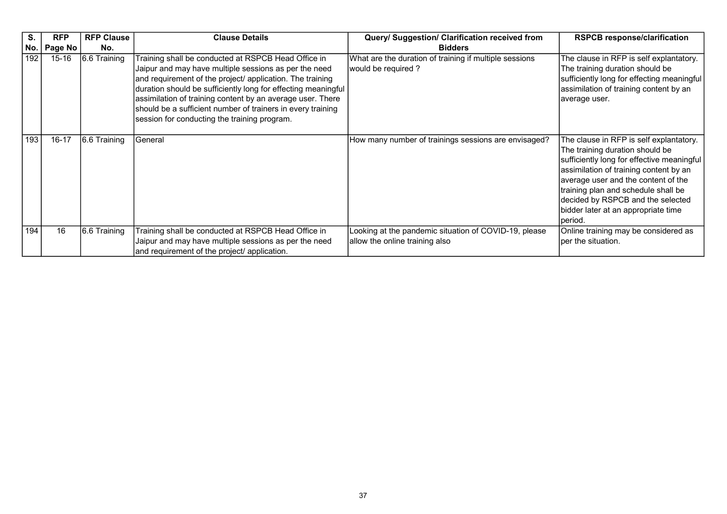| S.  | <b>RFP</b> | <b>RFP Clause</b> | <b>Clause Details</b>                                                                                                                                                                                                                                                                                                                                                                                                   | Query/ Suggestion/ Clarification received from                                          | <b>RSPCB response/clarification</b>                                                                                                                                                                                                                                                                                                     |
|-----|------------|-------------------|-------------------------------------------------------------------------------------------------------------------------------------------------------------------------------------------------------------------------------------------------------------------------------------------------------------------------------------------------------------------------------------------------------------------------|-----------------------------------------------------------------------------------------|-----------------------------------------------------------------------------------------------------------------------------------------------------------------------------------------------------------------------------------------------------------------------------------------------------------------------------------------|
| No. | Page No    | No.               |                                                                                                                                                                                                                                                                                                                                                                                                                         | <b>Bidders</b>                                                                          |                                                                                                                                                                                                                                                                                                                                         |
| 192 | $15 - 16$  | 6.6 Training      | Training shall be conducted at RSPCB Head Office in<br>Jaipur and may have multiple sessions as per the need<br>and requirement of the project/ application. The training<br>duration should be sufficiently long for effecting meaningful<br>assimilation of training content by an average user. There<br>should be a sufficient number of trainers in every training<br>session for conducting the training program. | What are the duration of training if multiple sessions<br>would be required?            | The clause in RFP is self explantatory.<br>The training duration should be<br>sufficiently long for effecting meaningful<br>assimilation of training content by an<br>average user.                                                                                                                                                     |
| 193 | $16 - 17$  | 6.6 Training      | General                                                                                                                                                                                                                                                                                                                                                                                                                 | How many number of trainings sessions are envisaged?                                    | The clause in RFP is self explantatory.<br>The training duration should be<br>sufficiently long for effective meaningful<br>assimilation of training content by an<br>average user and the content of the<br>training plan and schedule shall be<br>decided by RSPCB and the selected<br>bidder later at an appropriate time<br>period. |
| 194 | 16         | 6.6 Training      | Training shall be conducted at RSPCB Head Office in<br>Jaipur and may have multiple sessions as per the need<br>and requirement of the project/ application.                                                                                                                                                                                                                                                            | Looking at the pandemic situation of COVID-19, please<br>allow the online training also | Online training may be considered as<br>per the situation.                                                                                                                                                                                                                                                                              |